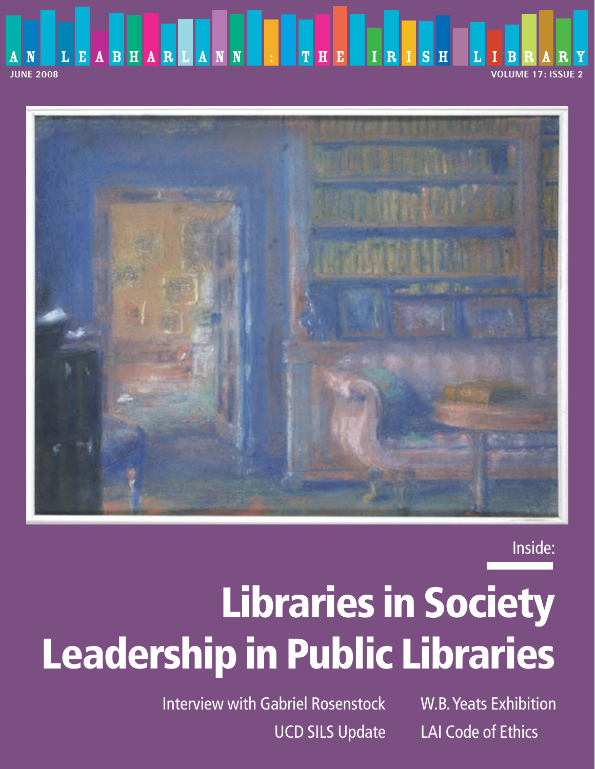



Inside:

# **Libraries in Society Leadership in Public Libraries**

Interview with Gabriel Rosenstock W.B. Yeats Exhibition

UCD SILS Update LAI Code of Ethics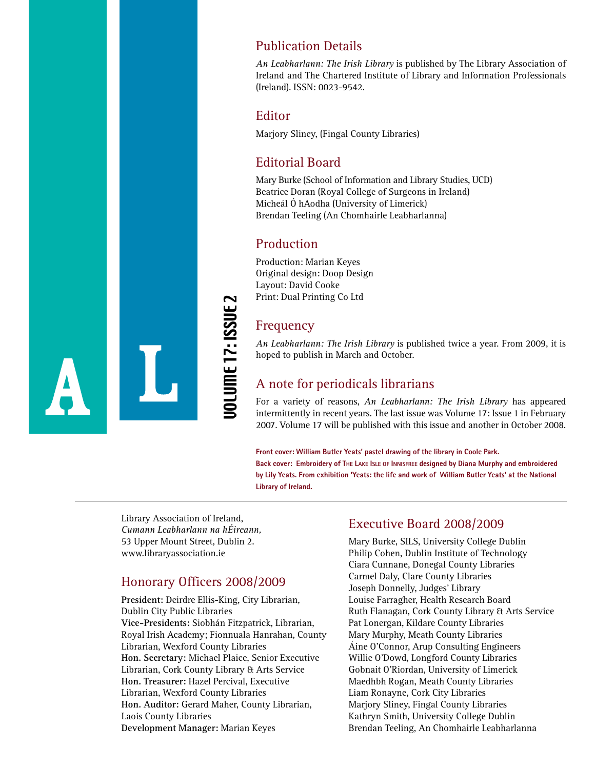

## Publication Details

*An Leabharlann: The Irish Library* is published by The Library Association of Ireland and The Chartered Institute of Library and Information Professionals (Ireland). ISSN: 0023-9542.

## Editor

Marjory Sliney, (Fingal County Libraries)

## Editorial Board

Mary Burke (School of Information and Library Studies, UCD) Beatrice Doran (Royal College of Surgeons in Ireland) Micheál Ó hAodha (University of Limerick) Brendan Teeling (An Chomhairle Leabharlanna)

## Production

Production: Marian Keyes Original design: Doop Design Layout: David Cooke Print: Dual Printing Co Ltd

## Frequency

*An Leabharlann: The Irish Library* is published twice a year. From 2009, it is hoped to publish in March and October.

## A note for periodicals librarians

For a variety of reasons, *An Leabharlann: The Irish Library* has appeared intermittently in recent years. The last issue was Volume 17: Issue 1 in February 2007. Volume 17 will be published with this issue and another in October 2008.

**Front cover: William Butler Yeats' pastel drawing of the library in Coole Park. Back cover: Embroidery of THE LAKE ISLE OF INNISFREE designed by Diana Murphy and embroidered by Lily Yeats. From exhibition 'Yeats: the life and work of William Butler Yeats' at the National Library of Ireland.** 

Library Association of Ireland, *Cumann Leabharlann na hÉireann,* 53 Upper Mount Street, Dublin 2. www.libraryassociation.ie

## Honorary Officers 2008/2009

**President:** Deirdre Ellis-King, City Librarian, Dublin City Public Libraries **Vice-Presidents:** Siobhán Fitzpatrick, Librarian, Royal Irish Academy; Fionnuala Hanrahan, County Librarian, Wexford County Libraries **Hon. Secretary:** Michael Plaice, Senior Executive Librarian, Cork County Library & Arts Service **Hon. Treasurer:** Hazel Percival, Executive Librarian, Wexford County Libraries **Hon. Auditor:** Gerard Maher, County Librarian, Laois County Libraries **DEVELOPMENT MANAger Server Manager:** Manusum Manager:<br>
Manusum Manager:<br>
Development Manager:<br>
Manusum Manager:<br>
Development Street, Dublin 2.<br>
Manager: Mount Street, Dublin 2.<br>
Manager: Mount Street, Dublin 2.<br>
Manager:

## Executive Board 2008/2009

Mary Burke, SILS, University College Dublin Philip Cohen, Dublin Institute of Technology Ciara Cunnane, Donegal County Libraries Carmel Daly, Clare County Libraries Joseph Donnelly, Judges' Library Louise Farragher, Health Research Board Ruth Flanagan, Cork County Library & Arts Service Pat Lonergan, Kildare County Libraries Mary Murphy, Meath County Libraries Áine O'Connor, Arup Consulting Engineers Willie O'Dowd, Longford County Libraries Gobnait O'Riordan, University of Limerick Maedhbh Rogan, Meath County Libraries Liam Ronayne, Cork City Libraries Marjory Sliney, Fingal County Libraries Kathryn Smith, University College Dublin Brendan Teeling, An Chomhairle Leabharlanna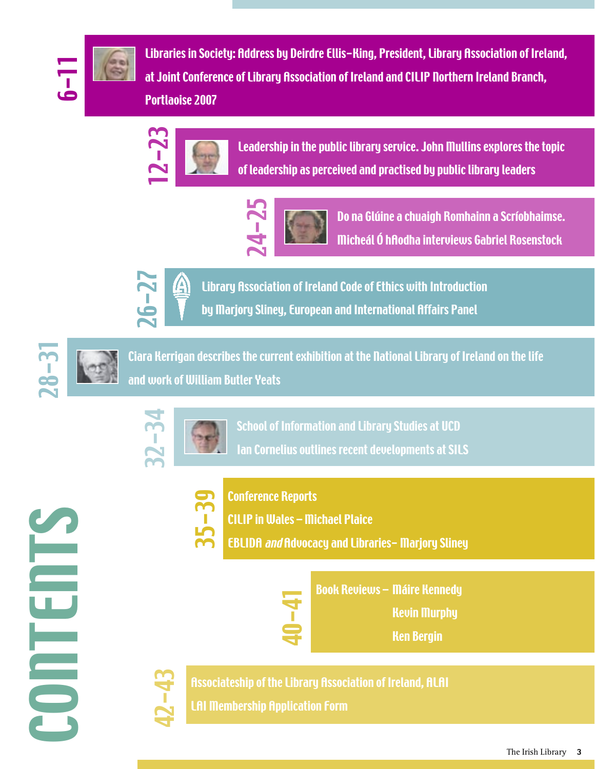

Libraries in Society: Address by Deirdre Ellis-King, President, Library Association of Ireland, at Joint Conference of Library Association of Ireland and CILIP Northern Ireland Branch, Portlaoise 2007



Leadership in the public library service. John Mullins explores the topic of leadership as perceived and practised by public library leaders



Conference Reports

CILIP in Wales – Michael Plaice

40-41

Do na Glúine a chuaigh Romhainn a Scríobhaimse. Micheál Ó hAodha interviews Gabriel Rosenstock



Library Association of Ireland Code of Ethics with Introduction by Marjory Sliney, European and International Affairs Panel



Ciara Kerrigan describes the current exhibition at the National Library of Ireland on the life and work of William Butler Yeats



35-39

School of Information and Library Studies at UCD Ian Cornelius outlines recent developments at SILS

EBLIDA and Advocacy and Libraries- Marjory Sliney

Book Reviews – Máire Kennedy

Kevin Murphy

Ken Bergin





Associateship of the Library Association of Ireland, ALAI LAI Membership Application Form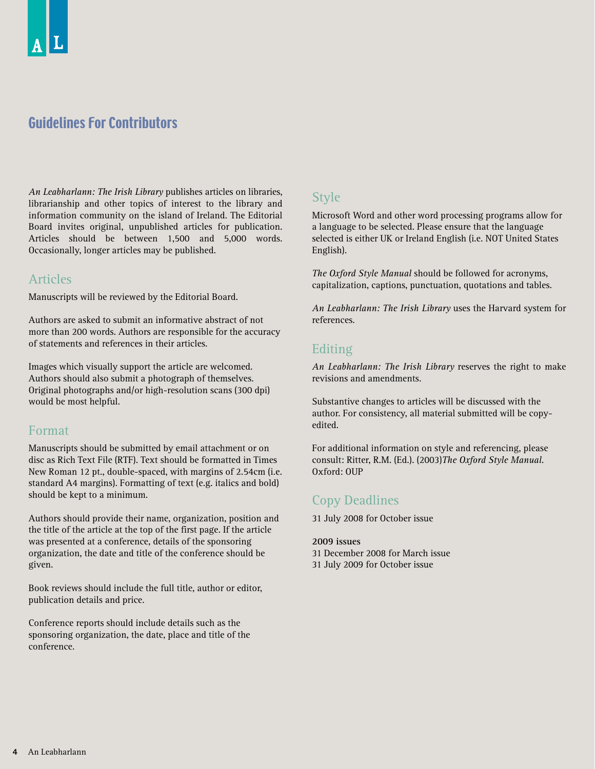## Guidelines For Contributors

*An Leabharlann: The Irish Library* publishes articles on libraries, librarianship and other topics of interest to the library and information community on the island of Ireland. The Editorial Board invites original, unpublished articles for publication. Articles should be between 1,500 and 5,000 words. Occasionally, longer articles may be published.

## Articles

Manuscripts will be reviewed by the Editorial Board.

Authors are asked to submit an informative abstract of not more than 200 words. Authors are responsible for the accuracy of statements and references in their articles.

Images which visually support the article are welcomed. Authors should also submit a photograph of themselves. Original photographs and/or high-resolution scans (300 dpi) would be most helpful.

## Format

Manuscripts should be submitted by email attachment or on disc as Rich Text File (RTF). Text should be formatted in Times New Roman 12 pt., double-spaced, with margins of 2.54cm (i.e. standard A4 margins). Formatting of text (e.g. italics and bold) should be kept to a minimum.

Authors should provide their name, organization, position and the title of the article at the top of the first page. If the article was presented at a conference, details of the sponsoring organization, the date and title of the conference should be given.

Book reviews should include the full title, author or editor, publication details and price.

Conference reports should include details such as the sponsoring organization, the date, place and title of the conference.

## Style

Microsoft Word and other word processing programs allow for a language to be selected. Please ensure that the language selected is either UK or Ireland English (i.e. NOT United States English).

*The Oxford Style Manual* should be followed for acronyms, capitalization, captions, punctuation, quotations and tables.

*An Leabharlann: The Irish Library* uses the Harvard system for references.

## Editing

*An Leabharlann: The Irish Library* reserves the right to make revisions and amendments.

Substantive changes to articles will be discussed with the author. For consistency, all material submitted will be copyedited.

For additional information on style and referencing, please consult: Ritter, R.M. (Ed.). (2003)*The Oxford Style Manual*. Oxford: OUP

## Copy Deadlines

31 July 2008 for October issue

#### **2009 issues**

31 December 2008 for March issue 31 July 2009 for October issue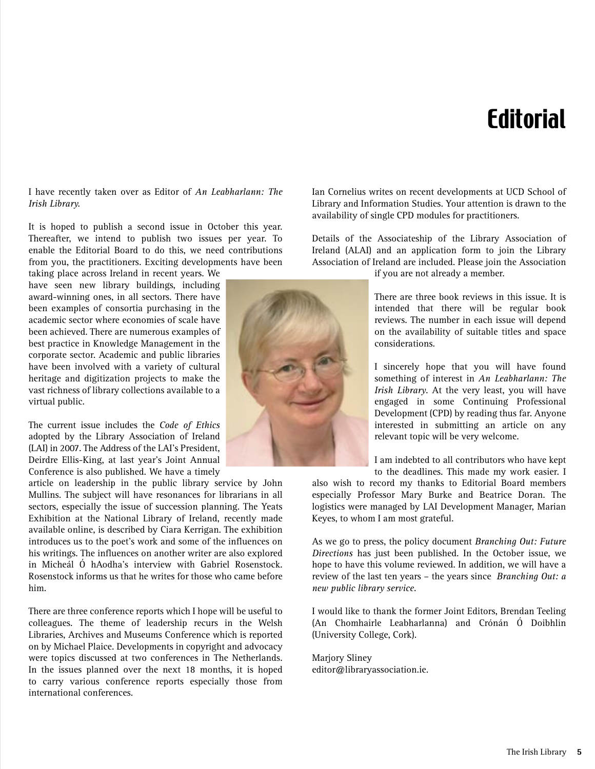## Editorial

I have recently taken over as Editor of *An Leabharlann: The Irish Library.* 

It is hoped to publish a second issue in October this year. Thereafter, we intend to publish two issues per year. To enable the Editorial Board to do this, we need contributions from you, the practitioners. Exciting developments have been

taking place across Ireland in recent years. We have seen new library buildings, including award-winning ones, in all sectors. There have been examples of consortia purchasing in the academic sector where economies of scale have been achieved. There are numerous examples of best practice in Knowledge Management in the corporate sector. Academic and public libraries have been involved with a variety of cultural heritage and digitization projects to make the vast richness of library collections available to a virtual public.

The current issue includes the *Code of Ethics* adopted by the Library Association of Ireland (LAI) in 2007. The Address of the LAI's President, Deirdre Ellis-King, at last year's Joint Annual Conference is also published. We have a timely

article on leadership in the public library service by John Mullins. The subject will have resonances for librarians in all sectors, especially the issue of succession planning. The Yeats Exhibition at the National Library of Ireland, recently made available online, is described by Ciara Kerrigan. The exhibition introduces us to the poet's work and some of the influences on his writings. The influences on another writer are also explored in Micheál Ó hAodha's interview with Gabriel Rosenstock. Rosenstock informs us that he writes for those who came before him.

There are three conference reports which I hope will be useful to colleagues. The theme of leadership recurs in the Welsh Libraries, Archives and Museums Conference which is reported on by Michael Plaice. Developments in copyright and advocacy were topics discussed at two conferences in The Netherlands. In the issues planned over the next 18 months, it is hoped to carry various conference reports especially those from international conferences.

Ian Cornelius writes on recent developments at UCD School of Library and Information Studies. Your attention is drawn to the availability of single CPD modules for practitioners.

Details of the Associateship of the Library Association of Ireland (ALAI) and an application form to join the Library Association of Ireland are included. Please join the Association

if you are not already a member.

There are three book reviews in this issue. It is intended that there will be regular book reviews. The number in each issue will depend on the availability of suitable titles and space considerations.

I sincerely hope that you will have found something of interest in *An Leabharlann: The Irish Library*. At the very least, you will have engaged in some Continuing Professional Development (CPD) by reading thus far. Anyone interested in submitting an article on any relevant topic will be very welcome.

I am indebted to all contributors who have kept to the deadlines. This made my work easier. I

also wish to record my thanks to Editorial Board members especially Professor Mary Burke and Beatrice Doran. The logistics were managed by LAI Development Manager, Marian Keyes, to whom I am most grateful.

As we go to press, the policy document *Branching Out: Future Directions* has just been published. In the October issue, we hope to have this volume reviewed. In addition, we will have a review of the last ten years – the years since *Branching Out: a new public library service.*

I would like to thank the former Joint Editors, Brendan Teeling (An Chomhairle Leabharlanna) and Crónán Ó Doibhlin (University College, Cork).

Marjory Sliney editor@libraryassociation.ie.

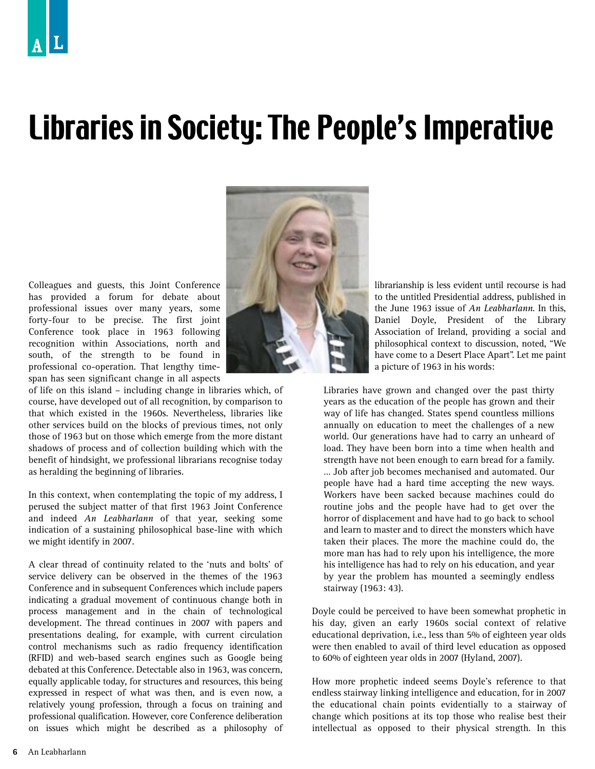## Libraries in Society: The People's Imperative

Colleagues and guests, this Joint Conference has provided a forum for debate about professional issues over many years, some forty-four to be precise. The first joint Conference took place in 1963 following recognition within Associations, north and south, of the strength to be found in professional co-operation. That lengthy timespan has seen significant change in all aspects

of life on this island – including change in libraries which, of course, have developed out of all recognition, by comparison to that which existed in the 1960s. Nevertheless, libraries like other services build on the blocks of previous times, not only those of 1963 but on those which emerge from the more distant shadows of process and of collection building which with the benefit of hindsight, we professional librarians recognise today as heralding the beginning of libraries.

In this context, when contemplating the topic of my address, I perused the subject matter of that first 1963 Joint Conference and indeed *An Leabharlann* of that year, seeking some indication of a sustaining philosophical base-line with which we might identify in 2007.

A clear thread of continuity related to the 'nuts and bolts' of service delivery can be observed in the themes of the 1963 Conference and in subsequent Conferences which include papers indicating a gradual movement of continuous change both in process management and in the chain of technological development. The thread continues in 2007 with papers and presentations dealing, for example, with current circulation control mechanisms such as radio frequency identification (RFID) and web-based search engines such as Google being debated at this Conference. Detectable also in 1963, was concern, equally applicable today, for structures and resources, this being expressed in respect of what was then, and is even now, a relatively young profession, through a focus on training and professional qualification. However, core Conference deliberation on issues which might be described as a philosophy of



librarianship is less evident until recourse is had to the untitled Presidential address, published in the June 1963 issue of *An Leabharlann*. In this, Daniel Doyle, President of the Library Association of Ireland, providing a social and philosophical context to discussion, noted, "We have come to a Desert Place Apart". Let me paint a picture of 1963 in his words:

Libraries have grown and changed over the past thirty years as the education of the people has grown and their way of life has changed. States spend countless millions annually on education to meet the challenges of a new world. Our generations have had to carry an unheard of load. They have been born into a time when health and strength have not been enough to earn bread for a family. … Job after job becomes mechanised and automated. Our people have had a hard time accepting the new ways. Workers have been sacked because machines could do routine jobs and the people have had to get over the horror of displacement and have had to go back to school and learn to master and to direct the monsters which have taken their places. The more the machine could do, the more man has had to rely upon his intelligence, the more his intelligence has had to rely on his education, and year by year the problem has mounted a seemingly endless stairway (1963: 43).

Doyle could be perceived to have been somewhat prophetic in his day, given an early 1960s social context of relative educational deprivation, i.e., less than 5% of eighteen year olds were then enabled to avail of third level education as opposed to 60% of eighteen year olds in 2007 (Hyland, 2007).

How more prophetic indeed seems Doyle's reference to that endless stairway linking intelligence and education, for in 2007 the educational chain points evidentially to a stairway of change which positions at its top those who realise best their intellectual as opposed to their physical strength. In this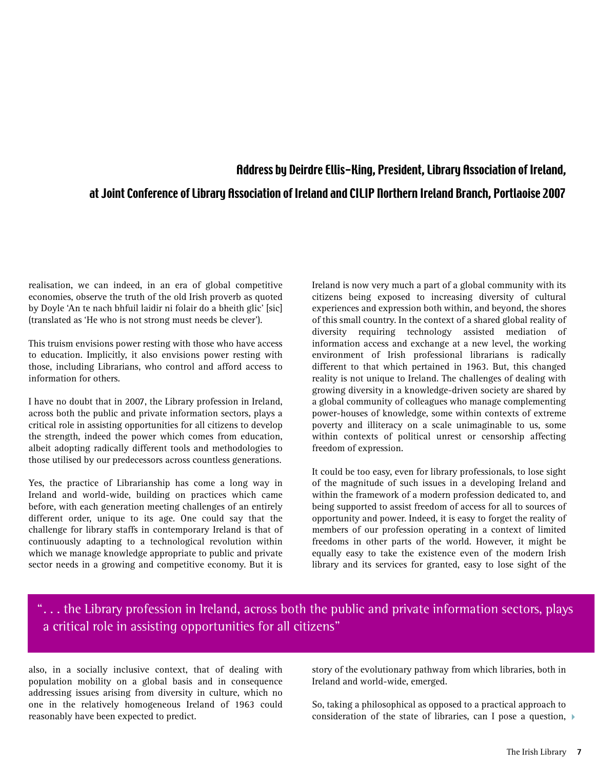## Address by Deirdre Ellis-King, President, Library Association of Ireland, at Joint Conference of Library Association of Ireland and CILIP Northern Ireland Branch, Portlaoise 2007

realisation, we can indeed, in an era of global competitive economies, observe the truth of the old Irish proverb as quoted by Doyle 'An te nach bhfuil laidir ni folair do a bheith glic' [sic] (translated as 'He who is not strong must needs be clever').

This truism envisions power resting with those who have access to education. Implicitly, it also envisions power resting with those, including Librarians, who control and afford access to information for others.

I have no doubt that in 2007, the Library profession in Ireland, across both the public and private information sectors, plays a critical role in assisting opportunities for all citizens to develop the strength, indeed the power which comes from education, albeit adopting radically different tools and methodologies to those utilised by our predecessors across countless generations.

Yes, the practice of Librarianship has come a long way in Ireland and world-wide, building on practices which came before, with each generation meeting challenges of an entirely different order, unique to its age. One could say that the challenge for library staffs in contemporary Ireland is that of continuously adapting to a technological revolution within which we manage knowledge appropriate to public and private sector needs in a growing and competitive economy. But it is

Ireland is now very much a part of a global community with its citizens being exposed to increasing diversity of cultural experiences and expression both within, and beyond, the shores of this small country. In the context of a shared global reality of diversity requiring technology assisted mediation of information access and exchange at a new level, the working environment of Irish professional librarians is radically different to that which pertained in 1963. But, this changed reality is not unique to Ireland. The challenges of dealing with growing diversity in a knowledge-driven society are shared by a global community of colleagues who manage complementing power-houses of knowledge, some within contexts of extreme poverty and illiteracy on a scale unimaginable to us, some within contexts of political unrest or censorship affecting freedom of expression.

It could be too easy, even for library professionals, to lose sight of the magnitude of such issues in a developing Ireland and within the framework of a modern profession dedicated to, and being supported to assist freedom of access for all to sources of opportunity and power. Indeed, it is easy to forget the reality of members of our profession operating in a context of limited freedoms in other parts of the world. However, it might be equally easy to take the existence even of the modern Irish library and its services for granted, easy to lose sight of the

"... the Library profession in Ireland, across both the public and private information sectors, plays a critical role in assisting opportunities for all citizens"

also, in a socially inclusive context, that of dealing with population mobility on a global basis and in consequence addressing issues arising from diversity in culture, which no one in the relatively homogeneous Ireland of 1963 could reasonably have been expected to predict.

story of the evolutionary pathway from which libraries, both in Ireland and world-wide, emerged.

So, taking a philosophical as opposed to a practical approach to consideration of the state of libraries, can I pose a question,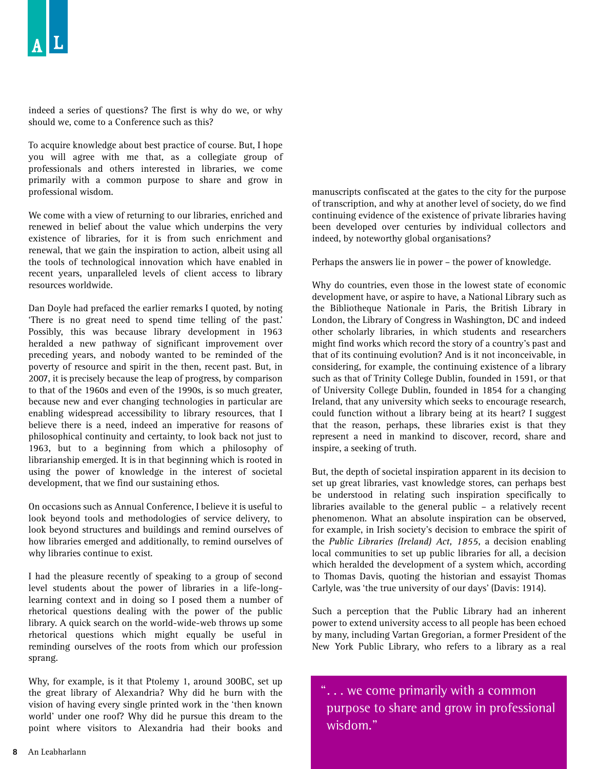indeed a series of questions? The first is why do we, or why should we, come to a Conference such as this?

To acquire knowledge about best practice of course. But, I hope you will agree with me that, as a collegiate group of professionals and others interested in libraries, we come primarily with a common purpose to share and grow in professional wisdom.

We come with a view of returning to our libraries, enriched and renewed in belief about the value which underpins the very existence of libraries, for it is from such enrichment and renewal, that we gain the inspiration to action, albeit using all the tools of technological innovation which have enabled in recent years, unparalleled levels of client access to library resources worldwide.

Dan Doyle had prefaced the earlier remarks I quoted, by noting 'There is no great need to spend time telling of the past.' Possibly, this was because library development in 1963 heralded a new pathway of significant improvement over preceding years, and nobody wanted to be reminded of the poverty of resource and spirit in the then, recent past. But, in 2007, it is precisely because the leap of progress, by comparison to that of the 1960s and even of the 1990s, is so much greater, because new and ever changing technologies in particular are enabling widespread accessibility to library resources, that I believe there is a need, indeed an imperative for reasons of philosophical continuity and certainty, to look back not just to 1963, but to a beginning from which a philosophy of librarianship emerged. It is in that beginning which is rooted in using the power of knowledge in the interest of societal development, that we find our sustaining ethos.

On occasions such as Annual Conference, I believe it is useful to look beyond tools and methodologies of service delivery, to look beyond structures and buildings and remind ourselves of how libraries emerged and additionally, to remind ourselves of why libraries continue to exist.

I had the pleasure recently of speaking to a group of second level students about the power of libraries in a life-longlearning context and in doing so I posed them a number of rhetorical questions dealing with the power of the public library. A quick search on the world-wide-web throws up some rhetorical questions which might equally be useful in reminding ourselves of the roots from which our profession sprang.

Why, for example, is it that Ptolemy 1, around 300BC, set up the great library of Alexandria? Why did he burn with the vision of having every single printed work in the 'then known world' under one roof? Why did he pursue this dream to the point where visitors to Alexandria had their books and

manuscripts confiscated at the gates to the city for the purpose of transcription, and why at another level of society, do we find continuing evidence of the existence of private libraries having been developed over centuries by individual collectors and indeed, by noteworthy global organisations?

Perhaps the answers lie in power – the power of knowledge.

Why do countries, even those in the lowest state of economic development have, or aspire to have, a National Library such as the Bibliotheque Nationale in Paris, the British Library in London, the Library of Congress in Washington, DC and indeed other scholarly libraries, in which students and researchers might find works which record the story of a country's past and that of its continuing evolution? And is it not inconceivable, in considering, for example, the continuing existence of a library such as that of Trinity College Dublin, founded in 1591, or that of University College Dublin, founded in 1854 for a changing Ireland, that any university which seeks to encourage research, could function without a library being at its heart? I suggest that the reason, perhaps, these libraries exist is that they represent a need in mankind to discover, record, share and inspire, a seeking of truth.

But, the depth of societal inspiration apparent in its decision to set up great libraries, vast knowledge stores, can perhaps best be understood in relating such inspiration specifically to libraries available to the general public – a relatively recent phenomenon. What an absolute inspiration can be observed, for example, in Irish society's decision to embrace the spirit of the *Public Libraries (Ireland) Act, 1855,* a decision enabling local communities to set up public libraries for all, a decision which heralded the development of a system which, according to Thomas Davis, quoting the historian and essayist Thomas Carlyle, was 'the true university of our days' (Davis: 1914).

Such a perception that the Public Library had an inherent power to extend university access to all people has been echoed by many, including Vartan Gregorian, a former President of the New York Public Library, who refers to a library as a real

"... we come primarily with a common purpose to share and grow in professional wisdom."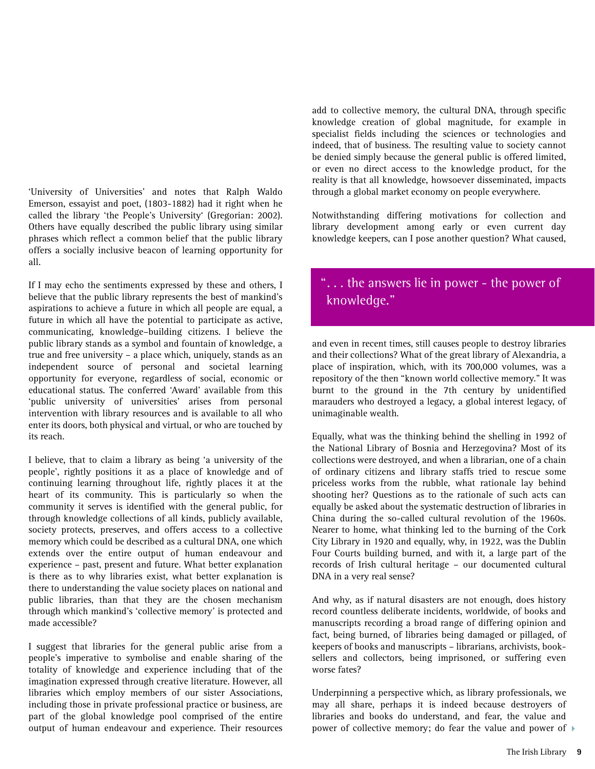'University of Universities' and notes that Ralph Waldo Emerson, essayist and poet, (1803-1882) had it right when he called the library 'the People's University' (Gregorian: 2002). Others have equally described the public library using similar phrases which reflect a common belief that the public library offers a socially inclusive beacon of learning opportunity for all.

If I may echo the sentiments expressed by these and others, I believe that the public library represents the best of mankind's aspirations to achieve a future in which all people are equal, a future in which all have the potential to participate as active, communicating, knowledge–building citizens. I believe the public library stands as a symbol and fountain of knowledge, a true and free university – a place which, uniquely, stands as an independent source of personal and societal learning opportunity for everyone, regardless of social, economic or educational status. The conferred 'Award' available from this 'public university of universities' arises from personal intervention with library resources and is available to all who enter its doors, both physical and virtual, or who are touched by its reach.

I believe, that to claim a library as being 'a university of the people', rightly positions it as a place of knowledge and of continuing learning throughout life, rightly places it at the heart of its community. This is particularly so when the community it serves is identified with the general public, for through knowledge collections of all kinds, publicly available, society protects, preserves, and offers access to a collective memory which could be described as a cultural DNA, one which extends over the entire output of human endeavour and experience – past, present and future. What better explanation is there as to why libraries exist, what better explanation is there to understanding the value society places on national and public libraries, than that they are the chosen mechanism through which mankind's 'collective memory' is protected and made accessible?

I suggest that libraries for the general public arise from a people's imperative to symbolise and enable sharing of the totality of knowledge and experience including that of the imagination expressed through creative literature. However, all libraries which employ members of our sister Associations, including those in private professional practice or business, are part of the global knowledge pool comprised of the entire output of human endeavour and experience. Their resources

add to collective memory, the cultural DNA, through specific knowledge creation of global magnitude, for example in specialist fields including the sciences or technologies and indeed, that of business. The resulting value to society cannot be denied simply because the general public is offered limited, or even no direct access to the knowledge product, for the reality is that all knowledge, howsoever disseminated, impacts through a global market economy on people everywhere.

Notwithstanding differing motivations for collection and library development among early or even current day knowledge keepers, can I pose another question? What caused,

## "... the answers lie in power - the power of knowledge."

and even in recent times, still causes people to destroy libraries and their collections? What of the great library of Alexandria, a place of inspiration, which, with its 700,000 volumes, was a repository of the then "known world collective memory." It was burnt to the ground in the 7th century by unidentified marauders who destroyed a legacy, a global interest legacy, of unimaginable wealth.

Equally, what was the thinking behind the shelling in 1992 of the National Library of Bosnia and Herzegovina? Most of its collections were destroyed, and when a librarian, one of a chain of ordinary citizens and library staffs tried to rescue some priceless works from the rubble, what rationale lay behind shooting her? Questions as to the rationale of such acts can equally be asked about the systematic destruction of libraries in China during the so-called cultural revolution of the 1960s. Nearer to home, what thinking led to the burning of the Cork City Library in 1920 and equally, why, in 1922, was the Dublin Four Courts building burned, and with it, a large part of the records of Irish cultural heritage – our documented cultural DNA in a very real sense?

And why, as if natural disasters are not enough, does history record countless deliberate incidents, worldwide, of books and manuscripts recording a broad range of differing opinion and fact, being burned, of libraries being damaged or pillaged, of keepers of books and manuscripts – librarians, archivists, booksellers and collectors, being imprisoned, or suffering even worse fates?

Underpinning a perspective which, as library professionals, we may all share, perhaps it is indeed because destroyers of libraries and books do understand, and fear, the value and power of collective memory; do fear the value and power of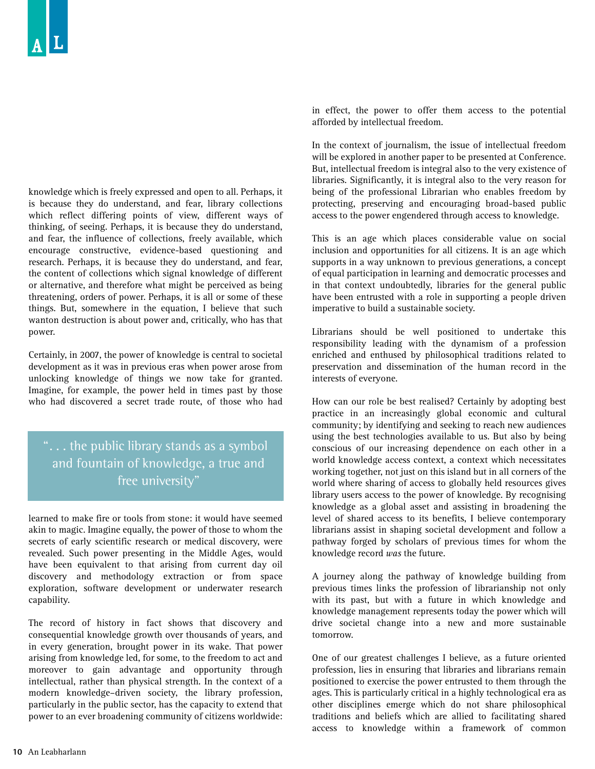knowledge which is freely expressed and open to all. Perhaps, it is because they do understand, and fear, library collections which reflect differing points of view, different ways of thinking, of seeing. Perhaps, it is because they do understand, and fear, the influence of collections, freely available, which encourage constructive, evidence-based questioning and research. Perhaps, it is because they do understand, and fear, the content of collections which signal knowledge of different or alternative, and therefore what might be perceived as being threatening, orders of power. Perhaps, it is all or some of these things. But, somewhere in the equation, I believe that such wanton destruction is about power and, critically, who has that power.

Certainly, in 2007, the power of knowledge is central to societal development as it was in previous eras when power arose from unlocking knowledge of things we now take for granted. Imagine, for example, the power held in times past by those who had discovered a secret trade route, of those who had

"... the public library stands as a symbol and fountain of knowledge, a true and free university"

learned to make fire or tools from stone: it would have seemed akin to magic. Imagine equally, the power of those to whom the secrets of early scientific research or medical discovery, were revealed. Such power presenting in the Middle Ages, would have been equivalent to that arising from current day oil discovery and methodology extraction or from space exploration, software development or underwater research capability.

The record of history in fact shows that discovery and consequential knowledge growth over thousands of years, and in every generation, brought power in its wake. That power arising from knowledge led, for some, to the freedom to act and moreover to gain advantage and opportunity through intellectual, rather than physical strength. In the context of a modern knowledge–driven society, the library profession, particularly in the public sector, has the capacity to extend that power to an ever broadening community of citizens worldwide:

in effect, the power to offer them access to the potential afforded by intellectual freedom.

In the context of journalism, the issue of intellectual freedom will be explored in another paper to be presented at Conference. But, intellectual freedom is integral also to the very existence of libraries. Significantly, it is integral also to the very reason for being of the professional Librarian who enables freedom by protecting, preserving and encouraging broad-based public access to the power engendered through access to knowledge.

This is an age which places considerable value on social inclusion and opportunities for all citizens. It is an age which supports in a way unknown to previous generations, a concept of equal participation in learning and democratic processes and in that context undoubtedly, libraries for the general public have been entrusted with a role in supporting a people driven imperative to build a sustainable society.

Librarians should be well positioned to undertake this responsibility leading with the dynamism of a profession enriched and enthused by philosophical traditions related to preservation and dissemination of the human record in the interests of everyone.

How can our role be best realised? Certainly by adopting best practice in an increasingly global economic and cultural community; by identifying and seeking to reach new audiences using the best technologies available to us. But also by being conscious of our increasing dependence on each other in a world knowledge access context, a context which necessitates working together, not just on this island but in all corners of the world where sharing of access to globally held resources gives library users access to the power of knowledge. By recognising knowledge as a global asset and assisting in broadening the level of shared access to its benefits, I believe contemporary librarians assist in shaping societal development and follow a pathway forged by scholars of previous times for whom the knowledge record *was* the future.

A journey along the pathway of knowledge building from previous times links the profession of librarianship not only with its past, but with a future in which knowledge and knowledge management represents today the power which will drive societal change into a new and more sustainable tomorrow.

One of our greatest challenges I believe, as a future oriented profession, lies in ensuring that libraries and librarians remain positioned to exercise the power entrusted to them through the ages. This is particularly critical in a highly technological era as other disciplines emerge which do not share philosophical traditions and beliefs which are allied to facilitating shared access to knowledge within a framework of common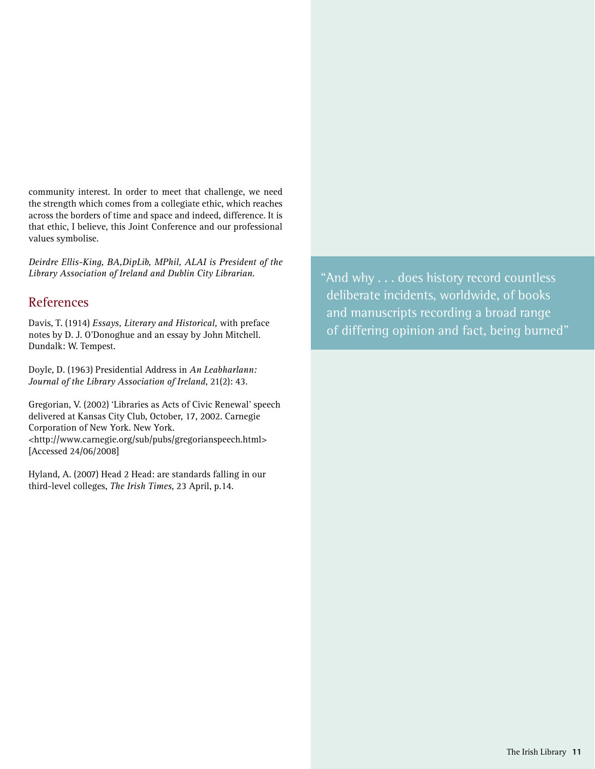community interest. In order to meet that challenge, we need the strength which comes from a collegiate ethic, which reaches across the borders of time and space and indeed, difference. It is that ethic, I believe, this Joint Conference and our professional values symbolise.

*Deirdre Ellis-King, BA,DipLib, MPhil, ALAI is President of the Library Association of Ireland and Dublin City Librarian.*

## References

Davis, T. (1914) *Essays, Literary and Historical,* with preface notes by D. J. O'Donoghue and an essay by John Mitchell. Dundalk: W. Tempest.

Doyle, D. (1963) Presidential Address in *An Leabharlann: Journal of the Library Association of Ireland*, 21(2): 43.

Gregorian, V. (2002) 'Libraries as Acts of Civic Renewal' speech delivered at Kansas City Club, October, 17, 2002. Carnegie Corporation of New York. New York. <http://www.carnegie.org/sub/pubs/gregorianspeech.html> [Accessed 24/06/2008]

Hyland, A. (2007) Head 2 Head: are standards falling in our third-level colleges, *The Irish Times*, 23 April, p.14.

"And why . . . does history record countless deliberate incidents, worldwide, of books and manuscripts recording a broad range of differing opinion and fact, being burned"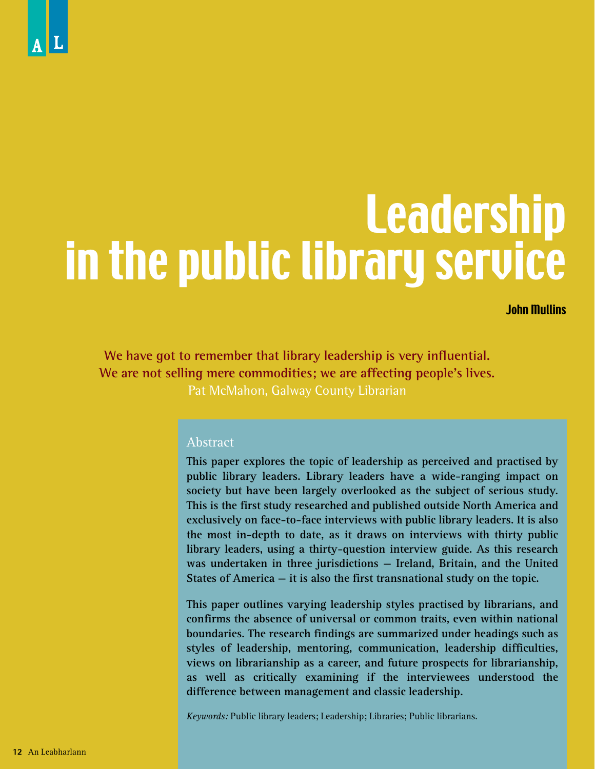# Leadership in the public library service

John Mullins

**We have got to remember that library leadership is very influential. We are not selling mere commodities; we are affecting people's lives.** Pat McMahon, Galway County Librarian

#### Abstract

**This paper explores the topic of leadership as perceived and practised by public library leaders. Library leaders have a wide-ranging impact on society but have been largely overlooked as the subject of serious study. This is the first study researched and published outside North America and exclusively on face-to-face interviews with public library leaders. It is also the most in-depth to date, as it draws on interviews with thirty public library leaders, using a thirty-question interview guide. As this research was undertaken in three jurisdictions — Ireland, Britain, and the United States of America — it is also the first transnational study on the topic.** 

**This paper outlines varying leadership styles practised by librarians, and confirms the absence of universal or common traits, even within national boundaries. The research findings are summarized under headings such as styles of leadership, mentoring, communication, leadership difficulties, views on librarianship as a career, and future prospects for librarianship, as well as critically examining if the interviewees understood the difference between management and classic leadership.** 

*Keywords:* Public library leaders; Leadership; Libraries; Public librarians.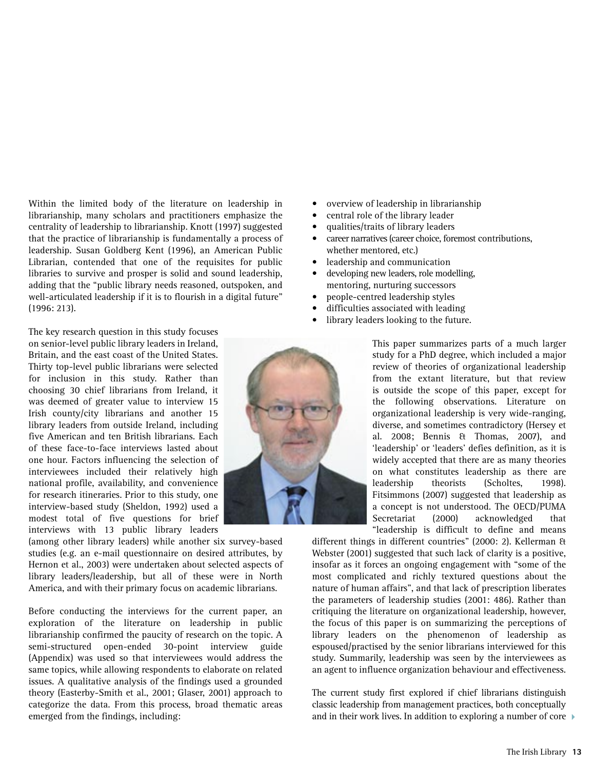Within the limited body of the literature on leadership in librarianship, many scholars and practitioners emphasize the centrality of leadership to librarianship. Knott (1997) suggested that the practice of librarianship is fundamentally a process of leadership. Susan Goldberg Kent (1996), an American Public Librarian, contended that one of the requisites for public libraries to survive and prosper is solid and sound leadership, adding that the "public library needs reasoned, outspoken, and well-articulated leadership if it is to flourish in a digital future" (1996: 213).

The key research question in this study focuses on senior-level public library leaders in Ireland, Britain, and the east coast of the United States. Thirty top-level public librarians were selected for inclusion in this study. Rather than choosing 30 chief librarians from Ireland, it was deemed of greater value to interview 15 Irish county/city librarians and another 15 library leaders from outside Ireland, including five American and ten British librarians. Each of these face-to-face interviews lasted about one hour. Factors influencing the selection of interviewees included their relatively high national profile, availability, and convenience for research itineraries. Prior to this study, one interview-based study (Sheldon, 1992) used a modest total of five questions for brief interviews with 13 public library leaders

(among other library leaders) while another six survey-based studies (e.g. an e-mail questionnaire on desired attributes, by Hernon et al., 2003) were undertaken about selected aspects of library leaders/leadership, but all of these were in North America, and with their primary focus on academic librarians.

Before conducting the interviews for the current paper, an exploration of the literature on leadership in public librarianship confirmed the paucity of research on the topic. A semi-structured open-ended 30-point interview guide (Appendix) was used so that interviewees would address the same topics, while allowing respondents to elaborate on related issues. A qualitative analysis of the findings used a grounded theory (Easterby-Smith et al., 2001; Glaser, 2001) approach to categorize the data. From this process, broad thematic areas emerged from the findings, including:

- overview of leadership in librarianship
- central role of the library leader
- qualities/traits of library leaders
- career narratives (career choice, foremost contributions, whether mentored, etc.)
- leadership and communication
- developing new leaders, role modelling, mentoring, nurturing successors
- people-centred leadership styles
- difficulties associated with leading
- library leaders looking to the future.

This paper summarizes parts of a much larger study for a PhD degree, which included a major review of theories of organizational leadership from the extant literature, but that review is outside the scope of this paper, except for the following observations. Literature on organizational leadership is very wide-ranging, diverse, and sometimes contradictory (Hersey et al. 2008; Bennis & Thomas, 2007), and 'leadership' or 'leaders' defies definition, as it is widely accepted that there are as many theories on what constitutes leadership as there are<br>leadership theorists (Scholtes, 1998). leadership theorists (Scholtes, 1998). Fitsimmons (2007) suggested that leadership as a concept is not understood. The OECD/PUMA Secretariat (2000) acknowledged that "leadership is difficult to define and means

different things in different countries" (2000: 2). Kellerman & Webster (2001) suggested that such lack of clarity is a positive, insofar as it forces an ongoing engagement with "some of the most complicated and richly textured questions about the nature of human affairs", and that lack of prescription liberates the parameters of leadership studies (2001: 486). Rather than critiquing the literature on organizational leadership, however, the focus of this paper is on summarizing the perceptions of library leaders on the phenomenon of leadership as espoused/practised by the senior librarians interviewed for this study. Summarily, leadership was seen by the interviewees as an agent to influence organization behaviour and effectiveness.

The current study first explored if chief librarians distinguish classic leadership from management practices, both conceptually and in their work lives. In addition to exploring a number of core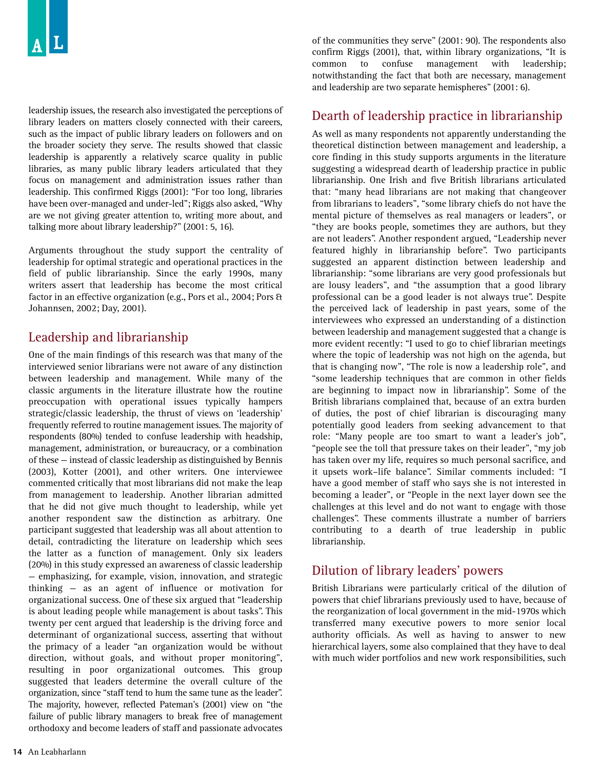leadership issues, the research also investigated the perceptions of library leaders on matters closely connected with their careers, such as the impact of public library leaders on followers and on the broader society they serve. The results showed that classic leadership is apparently a relatively scarce quality in public libraries, as many public library leaders articulated that they focus on management and administration issues rather than leadership. This confirmed Riggs (2001): "For too long, libraries have been over-managed and under-led"; Riggs also asked, "Why are we not giving greater attention to, writing more about, and talking more about library leadership?" (2001: 5, 16).

Arguments throughout the study support the centrality of leadership for optimal strategic and operational practices in the field of public librarianship. Since the early 1990s, many writers assert that leadership has become the most critical factor in an effective organization (e.g., Pors et al., 2004; Pors & Johannsen, 2002; Day, 2001).

## Leadership and librarianship

One of the main findings of this research was that many of the interviewed senior librarians were not aware of any distinction between leadership and management. While many of the classic arguments in the literature illustrate how the routine preoccupation with operational issues typically hampers strategic/classic leadership, the thrust of views on 'leadership' frequently referred to routine management issues. The majority of respondents (80%) tended to confuse leadership with headship, management, administration, or bureaucracy, or a combination of these — instead of classic leadership as distinguished by Bennis (2003), Kotter (2001), and other writers. One interviewee commented critically that most librarians did not make the leap from management to leadership. Another librarian admitted that he did not give much thought to leadership, while yet another respondent saw the distinction as arbitrary. One participant suggested that leadership was all about attention to detail, contradicting the literature on leadership which sees the latter as a function of management. Only six leaders (20%) in this study expressed an awareness of classic leadership — emphasizing, for example, vision, innovation, and strategic thinking — as an agent of influence or motivation for organizational success. One of these six argued that "leadership is about leading people while management is about tasks". This twenty per cent argued that leadership is the driving force and determinant of organizational success, asserting that without the primacy of a leader "an organization would be without direction, without goals, and without proper monitoring", resulting in poor organizational outcomes. This group suggested that leaders determine the overall culture of the organization, since "staff tend to hum the same tune as the leader". The majority, however, reflected Pateman's (2001) view on "the failure of public library managers to break free of management orthodoxy and become leaders of staff and passionate advocates

of the communities they serve" (2001: 90). The respondents also confirm Riggs (2001), that, within library organizations, "It is common to confuse management with leadership; notwithstanding the fact that both are necessary, management and leadership are two separate hemispheres" (2001: 6).

## Dearth of leadership practice in librarianship

As well as many respondents not apparently understanding the theoretical distinction between management and leadership, a core finding in this study supports arguments in the literature suggesting a widespread dearth of leadership practice in public librarianship. One Irish and five British librarians articulated that: "many head librarians are not making that changeover from librarians to leaders", "some library chiefs do not have the mental picture of themselves as real managers or leaders", or "they are books people, sometimes they are authors, but they are not leaders". Another respondent argued, "Leadership never featured highly in librarianship before". Two participants suggested an apparent distinction between leadership and librarianship: "some librarians are very good professionals but are lousy leaders", and "the assumption that a good library professional can be a good leader is not always true". Despite the perceived lack of leadership in past years, some of the interviewees who expressed an understanding of a distinction between leadership and management suggested that a change is more evident recently: "I used to go to chief librarian meetings where the topic of leadership was not high on the agenda, but that is changing now", "The role is now a leadership role", and "some leadership techniques that are common in other fields are beginning to impact now in librarianship". Some of the British librarians complained that, because of an extra burden of duties, the post of chief librarian is discouraging many potentially good leaders from seeking advancement to that role: "Many people are too smart to want a leader's job", "people see the toll that pressure takes on their leader", "my job has taken over my life, requires so much personal sacrifice, and it upsets work–life balance". Similar comments included: "I have a good member of staff who says she is not interested in becoming a leader", or "People in the next layer down see the challenges at this level and do not want to engage with those challenges". These comments illustrate a number of barriers contributing to a dearth of true leadership in public librarianship.

## Dilution of library leaders' powers

British Librarians were particularly critical of the dilution of powers that chief librarians previously used to have, because of the reorganization of local government in the mid-1970s which transferred many executive powers to more senior local authority officials. As well as having to answer to new hierarchical layers, some also complained that they have to deal with much wider portfolios and new work responsibilities, such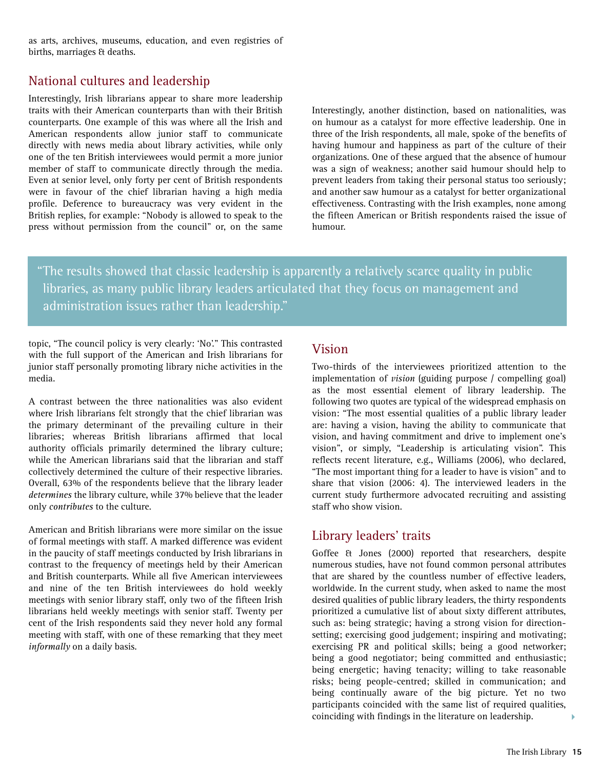as arts, archives, museums, education, and even registries of births, marriages & deaths.

## National cultures and leadership

Interestingly, Irish librarians appear to share more leadership traits with their American counterparts than with their British counterparts. One example of this was where all the Irish and American respondents allow junior staff to communicate directly with news media about library activities, while only one of the ten British interviewees would permit a more junior member of staff to communicate directly through the media. Even at senior level, only forty per cent of British respondents were in favour of the chief librarian having a high media profile. Deference to bureaucracy was very evident in the British replies, for example: "Nobody is allowed to speak to the press without permission from the council" or, on the same

Interestingly, another distinction, based on nationalities, was on humour as a catalyst for more effective leadership. One in three of the Irish respondents, all male, spoke of the benefits of having humour and happiness as part of the culture of their organizations. One of these argued that the absence of humour was a sign of weakness; another said humour should help to prevent leaders from taking their personal status too seriously; and another saw humour as a catalyst for better organizational effectiveness. Contrasting with the Irish examples, none among the fifteen American or British respondents raised the issue of humour.

"The results showed that classic leadership is apparently a relatively scarce quality in public libraries, as many public library leaders articulated that they focus on management and administration issues rather than leadership."

topic, "The council policy is very clearly: 'No'." This contrasted with the full support of the American and Irish librarians for junior staff personally promoting library niche activities in the media.

A contrast between the three nationalities was also evident where Irish librarians felt strongly that the chief librarian was the primary determinant of the prevailing culture in their libraries; whereas British librarians affirmed that local authority officials primarily determined the library culture; while the American librarians said that the librarian and staff collectively determined the culture of their respective libraries. Overall, 63% of the respondents believe that the library leader *determines* the library culture, while 37% believe that the leader only *contributes* to the culture.

American and British librarians were more similar on the issue of formal meetings with staff. A marked difference was evident in the paucity of staff meetings conducted by Irish librarians in contrast to the frequency of meetings held by their American and British counterparts. While all five American interviewees and nine of the ten British interviewees do hold weekly meetings with senior library staff, only two of the fifteen Irish librarians held weekly meetings with senior staff. Twenty per cent of the Irish respondents said they never hold any formal meeting with staff, with one of these remarking that they meet *informally* on a daily basis.

### Vision

Two-thirds of the interviewees prioritized attention to the implementation of *vision* (guiding purpose / compelling goal) as the most essential element of library leadership. The following two quotes are typical of the widespread emphasis on vision: "The most essential qualities of a public library leader are: having a vision, having the ability to communicate that vision, and having commitment and drive to implement one's vision", or simply, "Leadership is articulating vision". This reflects recent literature, e.g., Williams (2006), who declared, "The most important thing for a leader to have is vision" and to share that vision (2006: 4). The interviewed leaders in the current study furthermore advocated recruiting and assisting staff who show vision.

### Library leaders' traits

Goffee & Jones (2000) reported that researchers, despite numerous studies, have not found common personal attributes that are shared by the countless number of effective leaders, worldwide. In the current study, when asked to name the most desired qualities of public library leaders, the thirty respondents prioritized a cumulative list of about sixty different attributes, such as: being strategic; having a strong vision for directionsetting; exercising good judgement; inspiring and motivating; exercising PR and political skills; being a good networker; being a good negotiator; being committed and enthusiastic; being energetic; having tenacity; willing to take reasonable risks; being people-centred; skilled in communication; and being continually aware of the big picture. Yet no two participants coincided with the same list of required qualities, coinciding with findings in the literature on leadership.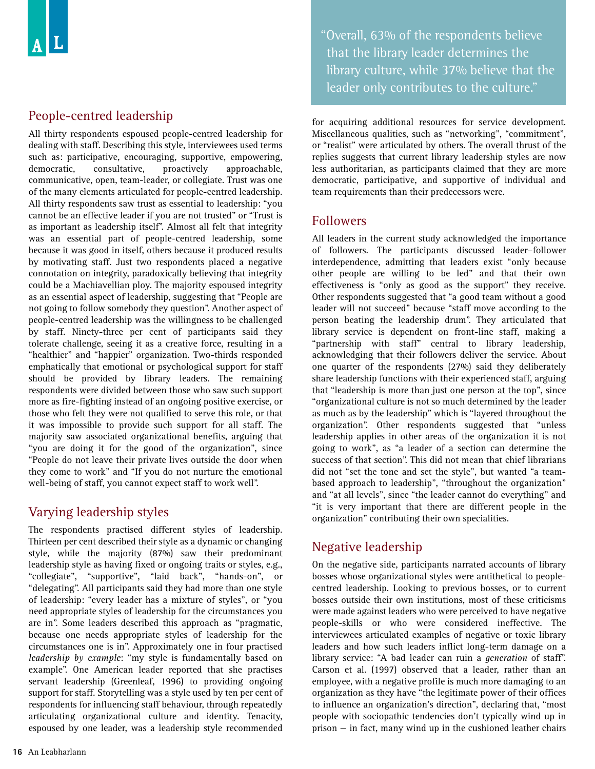## People-centred leadership

All thirty respondents espoused people-centred leadership for dealing with staff. Describing this style, interviewees used terms such as: participative, encouraging, supportive, empowering, democratic, consultative, proactively approachable, communicative, open, team-leader, or collegiate. Trust was one of the many elements articulated for people-centred leadership. All thirty respondents saw trust as essential to leadership: "you cannot be an effective leader if you are not trusted" or "Trust is as important as leadership itself". Almost all felt that integrity was an essential part of people-centred leadership, some because it was good in itself, others because it produced results by motivating staff. Just two respondents placed a negative connotation on integrity, paradoxically believing that integrity could be a Machiavellian ploy. The majority espoused integrity as an essential aspect of leadership, suggesting that "People are not going to follow somebody they question". Another aspect of people-centred leadership was the willingness to be challenged by staff. Ninety-three per cent of participants said they tolerate challenge, seeing it as a creative force, resulting in a "healthier" and "happier" organization. Two-thirds responded emphatically that emotional or psychological support for staff should be provided by library leaders. The remaining respondents were divided between those who saw such support more as fire-fighting instead of an ongoing positive exercise, or those who felt they were not qualified to serve this role, or that it was impossible to provide such support for all staff. The majority saw associated organizational benefits, arguing that "you are doing it for the good of the organization", since "People do not leave their private lives outside the door when they come to work" and "If you do not nurture the emotional well-being of staff, you cannot expect staff to work well".

## Varying leadership styles

The respondents practised different styles of leadership. Thirteen per cent described their style as a dynamic or changing style, while the majority (87%) saw their predominant leadership style as having fixed or ongoing traits or styles, e.g., "collegiate", "supportive", "laid back", "hands-on", or "delegating". All participants said they had more than one style of leadership: "every leader has a mixture of styles", or "you need appropriate styles of leadership for the circumstances you are in". Some leaders described this approach as "pragmatic, because one needs appropriate styles of leadership for the circumstances one is in". Approximately one in four practised *leadership by example*: "my style is fundamentally based on example". One American leader reported that she practises servant leadership (Greenleaf, 1996) to providing ongoing support for staff. Storytelling was a style used by ten per cent of respondents for influencing staff behaviour, through repeatedly articulating organizational culture and identity. Tenacity, espoused by one leader, was a leadership style recommended

"Overall, 63% of the respondents believe that the library leader determines the library culture, while 37% believe that the leader only contributes to the culture."

for acquiring additional resources for service development. Miscellaneous qualities, such as "networking", "commitment", or "realist" were articulated by others. The overall thrust of the replies suggests that current library leadership styles are now less authoritarian, as participants claimed that they are more democratic, participative, and supportive of individual and team requirements than their predecessors were.

## Followers

All leaders in the current study acknowledged the importance of followers. The participants discussed leader–follower interdependence, admitting that leaders exist "only because other people are willing to be led" and that their own effectiveness is "only as good as the support" they receive. Other respondents suggested that "a good team without a good leader will not succeed" because "staff move according to the person beating the leadership drum". They articulated that library service is dependent on front-line staff, making a "partnership with staff" central to library leadership, acknowledging that their followers deliver the service. About one quarter of the respondents (27%) said they deliberately share leadership functions with their experienced staff, arguing that "leadership is more than just one person at the top", since "organizational culture is not so much determined by the leader as much as by the leadership" which is "layered throughout the organization". Other respondents suggested that "unless leadership applies in other areas of the organization it is not going to work", as "a leader of a section can determine the success of that section". This did not mean that chief librarians did not "set the tone and set the style", but wanted "a teambased approach to leadership", "throughout the organization" and "at all levels", since "the leader cannot do everything" and "it is very important that there are different people in the organization" contributing their own specialities.

## Negative leadership

On the negative side, participants narrated accounts of library bosses whose organizational styles were antithetical to peoplecentred leadership. Looking to previous bosses, or to current bosses outside their own institutions, most of these criticisms were made against leaders who were perceived to have negative people-skills or who were considered ineffective. The interviewees articulated examples of negative or toxic library leaders and how such leaders inflict long-term damage on a library service: "A bad leader can ruin a *generation* of staff". Carson et al. (1997) observed that a leader, rather than an employee, with a negative profile is much more damaging to an organization as they have "the legitimate power of their offices to influence an organization's direction", declaring that, "most people with sociopathic tendencies don't typically wind up in prison — in fact, many wind up in the cushioned leather chairs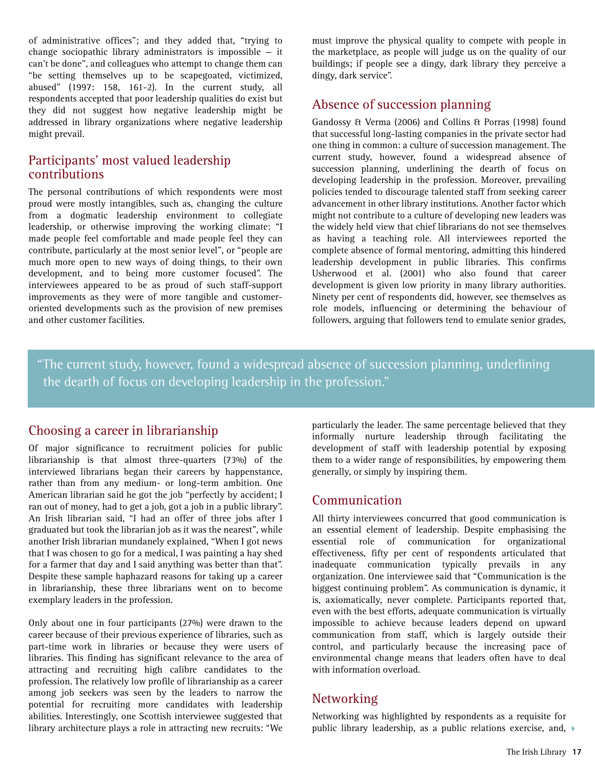of administrative offices"; and they added that, "trying to change sociopathic library administrators is impossible — it can't be done", and colleagues who attempt to change them can "be setting themselves up to be scapegoated, victimized, abused" (1997: 158, 161-2). In the current study, all respondents accepted that poor leadership qualities do exist but they did not suggest how negative leadership might be addressed in library organizations where negative leadership might prevail.

### Participants' most valued leadership contributions

The personal contributions of which respondents were most proud were mostly intangibles, such as, changing the culture from a dogmatic leadership environment to collegiate leadership, or otherwise improving the working climate: "I made people feel comfortable and made people feel they can contribute, particularly at the most senior level", or "people are much more open to new ways of doing things, to their own development, and to being more customer focused". The interviewees appeared to be as proud of such staff-support improvements as they were of more tangible and customeroriented developments such as the provision of new premises and other customer facilities.

must improve the physical quality to compete with people in the marketplace, as people will judge us on the quality of our buildings; if people see a dingy, dark library they perceive a dingy, dark service".

## Absence of succession planning

Gandossy & Verma (2006) and Collins & Porras (1998) found that successful long-lasting companies in the private sector had one thing in common: a culture of succession management. The current study, however, found a widespread absence of succession planning, underlining the dearth of focus on developing leadership in the profession. Moreover, prevailing policies tended to discourage talented staff from seeking career advancement in other library institutions. Another factor which might not contribute to a culture of developing new leaders was the widely held view that chief librarians do not see themselves as having a teaching role. All interviewees reported the complete absence of formal mentoring, admitting this hindered leadership development in public libraries. This confirms Usherwood et al. (2001) who also found that career development is given low priority in many library authorities. Ninety per cent of respondents did, however, see themselves as role models, influencing or determining the behaviour of followers, arguing that followers tend to emulate senior grades,

"The current study, however, found a widespread absence of succession planning, underlining the dearth of focus on developing leadership in the profession."

### Choosing a career in librarianship

Of major significance to recruitment policies for public librarianship is that almost three-quarters (73%) of the interviewed librarians began their careers by happenstance, rather than from any medium- or long-term ambition. One American librarian said he got the job "perfectly by accident; I ran out of money, had to get a job, got a job in a public library". An Irish librarian said, "I had an offer of three jobs after I graduated but took the librarian job as it was the nearest", while another Irish librarian mundanely explained, "When I got news that I was chosen to go for a medical, I was painting a hay shed for a farmer that day and I said anything was better than that". Despite these sample haphazard reasons for taking up a career in librarianship, these three librarians went on to become exemplary leaders in the profession.

Only about one in four participants (27%) were drawn to the career because of their previous experience of libraries, such as part-time work in libraries or because they were users of libraries. This finding has significant relevance to the area of attracting and recruiting high calibre candidates to the profession. The relatively low profile of librarianship as a career among job seekers was seen by the leaders to narrow the potential for recruiting more candidates with leadership abilities. Interestingly, one Scottish interviewee suggested that library architecture plays a role in attracting new recruits: "We particularly the leader. The same percentage believed that they informally nurture leadership through facilitating the development of staff with leadership potential by exposing them to a wider range of responsibilities, by empowering them generally, or simply by inspiring them.

### Communication

All thirty interviewees concurred that good communication is an essential element of leadership. Despite emphasising the essential role of communication for organizational effectiveness, fifty per cent of respondents articulated that inadequate communication typically prevails in any organization. One interviewee said that "Communication is the biggest continuing problem". As communication is dynamic, it is, axiomatically, never complete. Participants reported that, even with the best efforts, adequate communication is virtually impossible to achieve because leaders depend on upward communication from staff, which is largely outside their control, and particularly because the increasing pace of environmental change means that leaders often have to deal with information overload.

## Networking

Networking was highlighted by respondents as a requisite for public library leadership, as a public relations exercise, and,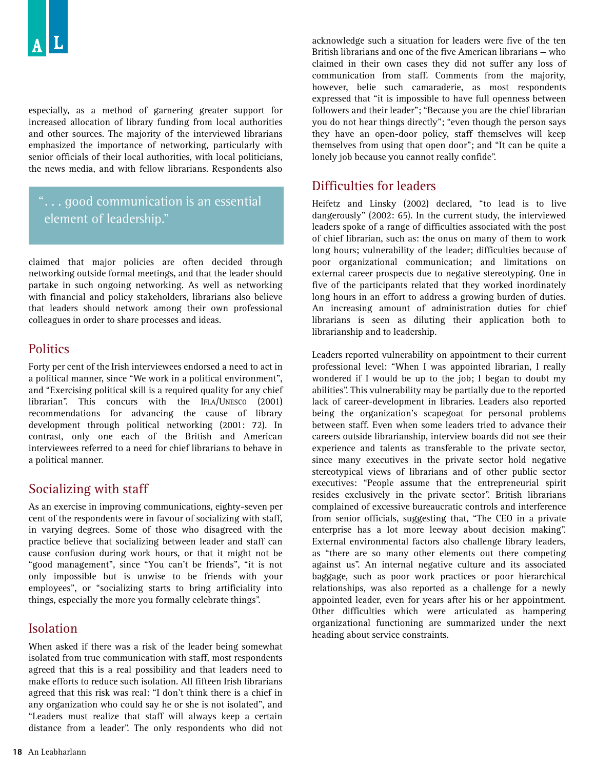especially, as a method of garnering greater support for increased allocation of library funding from local authorities and other sources. The majority of the interviewed librarians emphasized the importance of networking, particularly with senior officials of their local authorities, with local politicians, the news media, and with fellow librarians. Respondents also

## "... good communication is an essential element of leadership."

claimed that major policies are often decided through networking outside formal meetings, and that the leader should partake in such ongoing networking. As well as networking with financial and policy stakeholders, librarians also believe that leaders should network among their own professional colleagues in order to share processes and ideas.

## **Politics**

Forty per cent of the Irish interviewees endorsed a need to act in a political manner, since "We work in a political environment", and "Exercising political skill is a required quality for any chief librarian". This concurs with the IFLA/UNESCO (2001) recommendations for advancing the cause of library development through political networking (2001: 72). In contrast, only one each of the British and American interviewees referred to a need for chief librarians to behave in a political manner.

## Socializing with staff

As an exercise in improving communications, eighty-seven per cent of the respondents were in favour of socializing with staff, in varying degrees. Some of those who disagreed with the practice believe that socializing between leader and staff can cause confusion during work hours, or that it might not be "good management", since "You can't be friends", "it is not only impossible but is unwise to be friends with your employees", or "socializing starts to bring artificiality into things, especially the more you formally celebrate things".

## Isolation

When asked if there was a risk of the leader being somewhat isolated from true communication with staff, most respondents agreed that this is a real possibility and that leaders need to make efforts to reduce such isolation. All fifteen Irish librarians agreed that this risk was real: "I don't think there is a chief in any organization who could say he or she is not isolated", and "Leaders must realize that staff will always keep a certain distance from a leader". The only respondents who did not

acknowledge such a situation for leaders were five of the ten British librarians and one of the five American librarians — who claimed in their own cases they did not suffer any loss of communication from staff. Comments from the majority, however, belie such camaraderie, as most respondents expressed that "it is impossible to have full openness between followers and their leader"; "Because you are the chief librarian you do not hear things directly"; "even though the person says they have an open-door policy, staff themselves will keep themselves from using that open door"; and "It can be quite a lonely job because you cannot really confide".

## Difficulties for leaders

Heifetz and Linsky (2002) declared, "to lead is to live dangerously" (2002: 65). In the current study, the interviewed leaders spoke of a range of difficulties associated with the post of chief librarian, such as: the onus on many of them to work long hours; vulnerability of the leader; difficulties because of poor organizational communication; and limitations on external career prospects due to negative stereotyping. One in five of the participants related that they worked inordinately long hours in an effort to address a growing burden of duties. An increasing amount of administration duties for chief librarians is seen as diluting their application both to librarianship and to leadership.

Leaders reported vulnerability on appointment to their current professional level: "When I was appointed librarian, I really wondered if I would be up to the job; I began to doubt my abilities". This vulnerability may be partially due to the reported lack of career-development in libraries. Leaders also reported being the organization's scapegoat for personal problems between staff. Even when some leaders tried to advance their careers outside librarianship, interview boards did not see their experience and talents as transferable to the private sector, since many executives in the private sector hold negative stereotypical views of librarians and of other public sector executives: "People assume that the entrepreneurial spirit resides exclusively in the private sector". British librarians complained of excessive bureaucratic controls and interference from senior officials, suggesting that, "The CEO in a private enterprise has a lot more leeway about decision making". External environmental factors also challenge library leaders, as "there are so many other elements out there competing against us". An internal negative culture and its associated baggage, such as poor work practices or poor hierarchical relationships, was also reported as a challenge for a newly appointed leader, even for years after his or her appointment. Other difficulties which were articulated as hampering organizational functioning are summarized under the next heading about service constraints.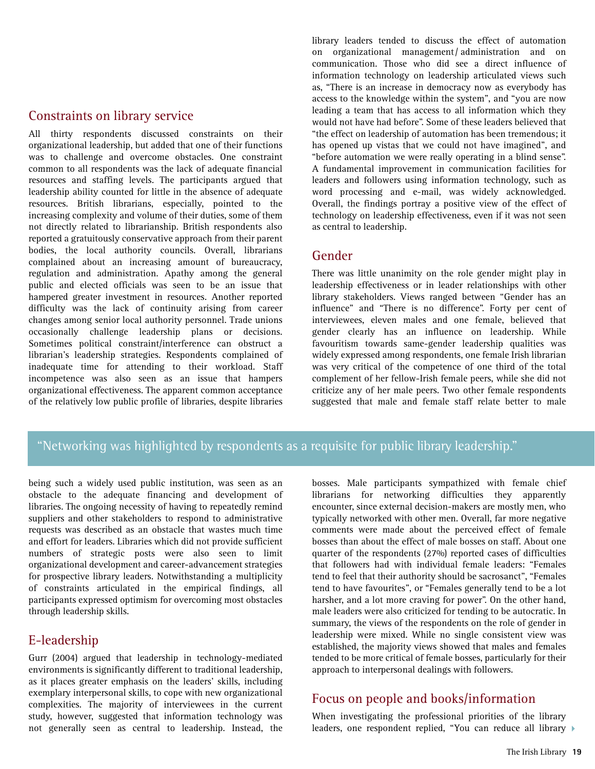#### Constraints on library service

All thirty respondents discussed constraints on their organizational leadership, but added that one of their functions was to challenge and overcome obstacles. One constraint common to all respondents was the lack of adequate financial resources and staffing levels. The participants argued that leadership ability counted for little in the absence of adequate resources. British librarians, especially, pointed to the increasing complexity and volume of their duties, some of them not directly related to librarianship. British respondents also reported a gratuitously conservative approach from their parent bodies, the local authority councils. Overall, librarians complained about an increasing amount of bureaucracy, regulation and administration. Apathy among the general public and elected officials was seen to be an issue that hampered greater investment in resources. Another reported difficulty was the lack of continuity arising from career changes among senior local authority personnel. Trade unions occasionally challenge leadership plans or decisions. Sometimes political constraint/interference can obstruct a librarian's leadership strategies. Respondents complained of inadequate time for attending to their workload. Staff incompetence was also seen as an issue that hampers organizational effectiveness. The apparent common acceptance of the relatively low public profile of libraries, despite libraries library leaders tended to discuss the effect of automation on organizational management/ administration and on communication. Those who did see a direct influence of information technology on leadership articulated views such as, "There is an increase in democracy now as everybody has access to the knowledge within the system", and "you are now leading a team that has access to all information which they would not have had before". Some of these leaders believed that "the effect on leadership of automation has been tremendous; it has opened up vistas that we could not have imagined", and "before automation we were really operating in a blind sense". A fundamental improvement in communication facilities for leaders and followers using information technology, such as word processing and e-mail, was widely acknowledged. Overall, the findings portray a positive view of the effect of technology on leadership effectiveness, even if it was not seen as central to leadership.

#### Gender

There was little unanimity on the role gender might play in leadership effectiveness or in leader relationships with other library stakeholders. Views ranged between "Gender has an influence" and "There is no difference". Forty per cent of interviewees, eleven males and one female, believed that gender clearly has an influence on leadership. While favouritism towards same-gender leadership qualities was widely expressed among respondents, one female Irish librarian was very critical of the competence of one third of the total complement of her fellow-Irish female peers, while she did not criticize any of her male peers. Two other female respondents suggested that male and female staff relate better to male

## "Networking was highlighted by respondents as a requisite for public library leadership."

being such a widely used public institution, was seen as an obstacle to the adequate financing and development of libraries. The ongoing necessity of having to repeatedly remind suppliers and other stakeholders to respond to administrative requests was described as an obstacle that wastes much time and effort for leaders. Libraries which did not provide sufficient numbers of strategic posts were also seen to limit organizational development and career-advancement strategies for prospective library leaders. Notwithstanding a multiplicity of constraints articulated in the empirical findings, all participants expressed optimism for overcoming most obstacles through leadership skills.

## E-leadership

Gurr (2004) argued that leadership in technology-mediated environments is significantly different to traditional leadership, as it places greater emphasis on the leaders' skills, including exemplary interpersonal skills, to cope with new organizational complexities. The majority of interviewees in the current study, however, suggested that information technology was not generally seen as central to leadership. Instead, the

bosses. Male participants sympathized with female chief librarians for networking difficulties they apparently encounter, since external decision-makers are mostly men, who typically networked with other men. Overall, far more negative comments were made about the perceived effect of female bosses than about the effect of male bosses on staff. About one quarter of the respondents (27%) reported cases of difficulties that followers had with individual female leaders: "Females tend to feel that their authority should be sacrosanct", "Females tend to have favourites", or "Females generally tend to be a lot harsher, and a lot more craving for power". On the other hand, male leaders were also criticized for tending to be autocratic. In summary, the views of the respondents on the role of gender in leadership were mixed. While no single consistent view was established, the majority views showed that males and females tended to be more critical of female bosses, particularly for their approach to interpersonal dealings with followers.

## Focus on people and books/information

When investigating the professional priorities of the library leaders, one respondent replied, "You can reduce all library  $\blacktriangleright$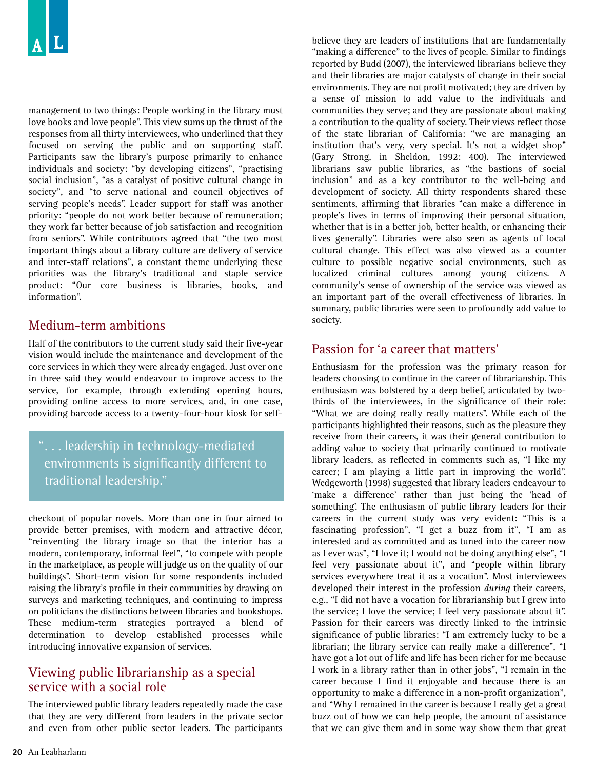management to two things: People working in the library must love books and love people". This view sums up the thrust of the responses from all thirty interviewees, who underlined that they focused on serving the public and on supporting staff. Participants saw the library's purpose primarily to enhance individuals and society: "by developing citizens", "practising social inclusion", "as a catalyst of positive cultural change in society", and "to serve national and council objectives of serving people's needs". Leader support for staff was another priority: "people do not work better because of remuneration; they work far better because of job satisfaction and recognition from seniors". While contributors agreed that "the two most important things about a library culture are delivery of service and inter-staff relations", a constant theme underlying these priorities was the library's traditional and staple service product: "Our core business is libraries, books, and information".

### Medium-term ambitions

Half of the contributors to the current study said their five-year vision would include the maintenance and development of the core services in which they were already engaged. Just over one in three said they would endeavour to improve access to the service, for example, through extending opening hours, providing online access to more services, and, in one case, providing barcode access to a twenty-four-hour kiosk for self-

## "... leadership in technology-mediated environments is significantly different to traditional leadership."

checkout of popular novels. More than one in four aimed to provide better premises, with modern and attractive décor, "reinventing the library image so that the interior has a modern, contemporary, informal feel", "to compete with people in the marketplace, as people will judge us on the quality of our buildings". Short-term vision for some respondents included raising the library's profile in their communities by drawing on surveys and marketing techniques, and continuing to impress on politicians the distinctions between libraries and bookshops. These medium-term strategies portrayed a blend of determination to develop established processes while introducing innovative expansion of services.

## Viewing public librarianship as a special service with a social role

The interviewed public library leaders repeatedly made the case that they are very different from leaders in the private sector and even from other public sector leaders. The participants

believe they are leaders of institutions that are fundamentally "making a difference" to the lives of people. Similar to findings reported by Budd (2007), the interviewed librarians believe they and their libraries are major catalysts of change in their social environments. They are not profit motivated; they are driven by a sense of mission to add value to the individuals and communities they serve; and they are passionate about making a contribution to the quality of society. Their views reflect those of the state librarian of California: "we are managing an institution that's very, very special. It's not a widget shop" (Gary Strong, in Sheldon, 1992: 400). The interviewed librarians saw public libraries, as "the bastions of social inclusion" and as a key contributor to the well-being and development of society. All thirty respondents shared these sentiments, affirming that libraries "can make a difference in people's lives in terms of improving their personal situation, whether that is in a better job, better health, or enhancing their lives generally". Libraries were also seen as agents of local cultural change. This effect was also viewed as a counter culture to possible negative social environments, such as localized criminal cultures among young citizens. A community's sense of ownership of the service was viewed as an important part of the overall effectiveness of libraries. In summary, public libraries were seen to profoundly add value to society.

## Passion for 'a career that matters'

Enthusiasm for the profession was the primary reason for leaders choosing to continue in the career of librarianship. This enthusiasm was bolstered by a deep belief, articulated by twothirds of the interviewees, in the significance of their role: "What we are doing really really matters". While each of the participants highlighted their reasons, such as the pleasure they receive from their careers, it was their general contribution to adding value to society that primarily continued to motivate library leaders, as reflected in comments such as, "I like my career; I am playing a little part in improving the world". Wedgeworth (1998) suggested that library leaders endeavour to 'make a difference' rather than just being the 'head of something'. The enthusiasm of public library leaders for their careers in the current study was very evident: "This is a fascinating profession", "I get a buzz from it", "I am as interested and as committed and as tuned into the career now as I ever was", "I love it; I would not be doing anything else", "I feel very passionate about it", and "people within library services everywhere treat it as a vocation". Most interviewees developed their interest in the profession *during* their careers, e.g., "I did not have a vocation for librarianship but I grew into the service; I love the service; I feel very passionate about it". Passion for their careers was directly linked to the intrinsic significance of public libraries: "I am extremely lucky to be a librarian; the library service can really make a difference", "I have got a lot out of life and life has been richer for me because I work in a library rather than in other jobs", "I remain in the career because I find it enjoyable and because there is an opportunity to make a difference in a non-profit organization", and "Why I remained in the career is because I really get a great buzz out of how we can help people, the amount of assistance that we can give them and in some way show them that great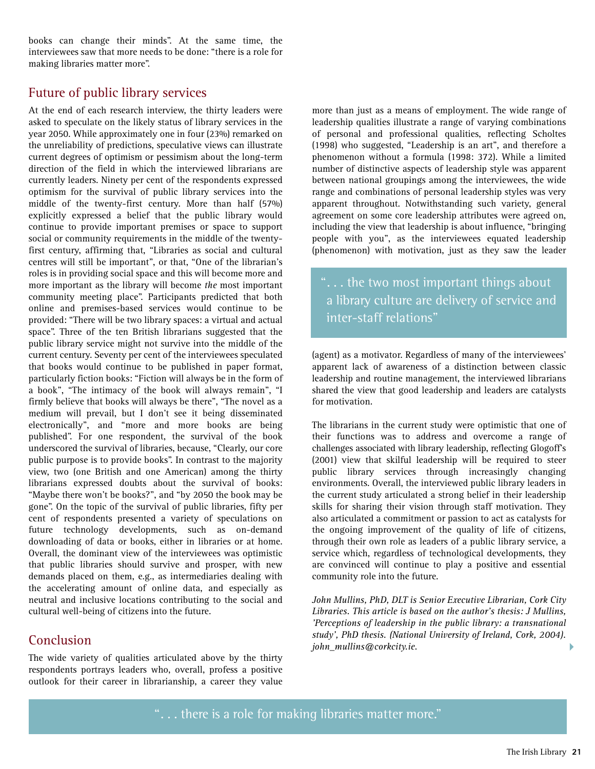books can change their minds". At the same time, the interviewees saw that more needs to be done: "there is a role for making libraries matter more".

## Future of public library services

At the end of each research interview, the thirty leaders were asked to speculate on the likely status of library services in the year 2050. While approximately one in four (23%) remarked on the unreliability of predictions, speculative views can illustrate current degrees of optimism or pessimism about the long-term direction of the field in which the interviewed librarians are currently leaders. Ninety per cent of the respondents expressed optimism for the survival of public library services into the middle of the twenty-first century. More than half (57%) explicitly expressed a belief that the public library would continue to provide important premises or space to support social or community requirements in the middle of the twentyfirst century, affirming that, "Libraries as social and cultural centres will still be important", or that, "One of the librarian's roles is in providing social space and this will become more and more important as the library will become *the* most important community meeting place". Participants predicted that both online and premises-based services would continue to be provided: "There will be two library spaces: a virtual and actual space". Three of the ten British librarians suggested that the public library service might not survive into the middle of the current century. Seventy per cent of the interviewees speculated that books would continue to be published in paper format, particularly fiction books: "Fiction will always be in the form of a book", "The intimacy of the book will always remain", "I firmly believe that books will always be there", "The novel as a medium will prevail, but I don't see it being disseminated electronically", and "more and more books are being published". For one respondent, the survival of the book underscored the survival of libraries, because, "Clearly, our core public purpose is to provide books". In contrast to the majority view, two (one British and one American) among the thirty librarians expressed doubts about the survival of books: "Maybe there won't be books?", and "by 2050 the book may be gone". On the topic of the survival of public libraries, fifty per cent of respondents presented a variety of speculations on future technology developments, such as on-demand downloading of data or books, either in libraries or at home. Overall, the dominant view of the interviewees was optimistic that public libraries should survive and prosper, with new demands placed on them, e.g., as intermediaries dealing with the accelerating amount of online data, and especially as neutral and inclusive locations contributing to the social and cultural well-being of citizens into the future.

## Conclusion

The wide variety of qualities articulated above by the thirty respondents portrays leaders who, overall, profess a positive outlook for their career in librarianship, a career they value more than just as a means of employment. The wide range of leadership qualities illustrate a range of varying combinations of personal and professional qualities, reflecting Scholtes (1998) who suggested, "Leadership is an art", and therefore a phenomenon without a formula (1998: 372). While a limited number of distinctive aspects of leadership style was apparent between national groupings among the interviewees, the wide range and combinations of personal leadership styles was very apparent throughout. Notwithstanding such variety, general agreement on some core leadership attributes were agreed on, including the view that leadership is about influence, "bringing people with you", as the interviewees equated leadership (phenomenon) with motivation, just as they saw the leader

"... the two most important things about a library culture are delivery of service and inter-staff relations"

(agent) as a motivator. Regardless of many of the interviewees' apparent lack of awareness of a distinction between classic leadership and routine management, the interviewed librarians shared the view that good leadership and leaders are catalysts for motivation.

The librarians in the current study were optimistic that one of their functions was to address and overcome a range of challenges associated with library leadership, reflecting Glogoff's (2001) view that skilful leadership will be required to steer public library services through increasingly changing environments. Overall, the interviewed public library leaders in the current study articulated a strong belief in their leadership skills for sharing their vision through staff motivation. They also articulated a commitment or passion to act as catalysts for the ongoing improvement of the quality of life of citizens, through their own role as leaders of a public library service, a service which, regardless of technological developments, they are convinced will continue to play a positive and essential community role into the future.

*John Mullins, PhD, DLT is Senior Executive Librarian, Cork City Libraries. This article is based on the author's thesis: J Mullins, 'Perceptions of leadership in the public library: a transnational study', PhD thesis. (National University of Ireland, Cork, 2004). john\_mullins@corkcity.ie.* 

"... there is a role for making libraries matter more."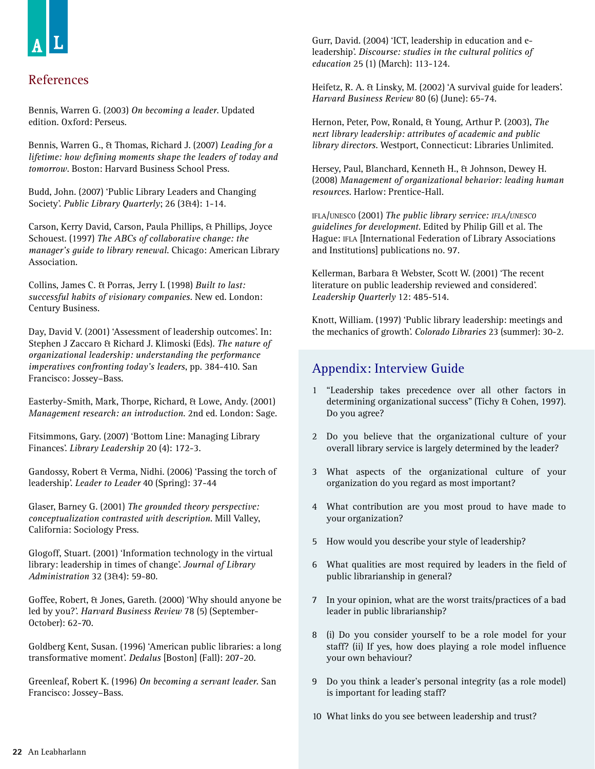## References

Bennis, Warren G. (2003) *On becoming a leader*. Updated edition. Oxford: Perseus.

Bennis, Warren G., & Thomas, Richard J. (2007) *Leading for a lifetime: how defining moments shape the leaders of today and tomorrow*. Boston: Harvard Business School Press.

Budd, John. (2007) 'Public Library Leaders and Changing Society'. *Public Library Quarterly*; 26 (3&4): 1-14.

Carson, Kerry David, Carson, Paula Phillips, & Phillips, Joyce Schouest. (1997) *The ABCs of collaborative change: the manager's guide to library renewal*. Chicago: American Library Association.

Collins, James C. & Porras, Jerry I. (1998) *Built to last: successful habits of visionary companies*. New ed. London: Century Business.

Day, David V. (2001) 'Assessment of leadership outcomes'. In: Stephen J Zaccaro & Richard J. Klimoski (Eds). *The nature of organizational leadership: understanding the performance imperatives confronting today's leaders*, pp. 384-410. San Francisco: Jossey–Bass.

Easterby-Smith, Mark, Thorpe, Richard, & Lowe, Andy. (2001) *Management research: an introduction*. 2nd ed. London: Sage.

Fitsimmons, Gary. (2007) 'Bottom Line: Managing Library Finances'. *Library Leadership* 20 (4): 172-3.

Gandossy, Robert & Verma, Nidhi. (2006) 'Passing the torch of leadership'. *Leader to Leader* 40 (Spring): 37-44

Glaser, Barney G. (2001) *The grounded theory perspective: conceptualization contrasted with description*. Mill Valley, California: Sociology Press.

Glogoff, Stuart. (2001) 'Information technology in the virtual library: leadership in times of change'. *Journal of Library Administration* 32 (3&4): 59-80.

Goffee, Robert, & Jones, Gareth. (2000) 'Why should anyone be led by you?'. *Harvard Business Review* 78 (5) (September-October): 62-70.

Goldberg Kent, Susan. (1996) 'American public libraries: a long transformative moment'. *Dedalus* [Boston] (Fall): 207-20.

Greenleaf, Robert K. (1996) *On becoming a servant leader*. San Francisco: Jossey–Bass.

Gurr, David. (2004) 'ICT, leadership in education and eleadership'. *Discourse: studies in the cultural politics of education* 25 (1) (March): 113-124.

Heifetz, R. A. & Linsky, M. (2002) 'A survival guide for leaders'. *Harvard Business Review* 80 (6) (June): 65-74.

Hernon, Peter, Pow, Ronald, & Young, Arthur P. (2003), *The next library leadership: attributes of academic and public library directors*. Westport, Connecticut: Libraries Unlimited.

Hersey, Paul, Blanchard, Kenneth H., & Johnson, Dewey H. (2008) *Management of organizational behavior: leading human resources*. Harlow: Prentice-Hall.

IFLA/UNESCO (2001) *The public library service: IFLA/UNESCO guidelines for development*. Edited by Philip Gill et al. The Hague: IFLA [International Federation of Library Associations and Institutions] publications no. 97.

Kellerman, Barbara & Webster, Scott W. (2001) 'The recent literature on public leadership reviewed and considered'. *Leadership Quarterly* 12: 485-514.

Knott, William. (1997) 'Public library leadership: meetings and the mechanics of growth'. *Colorado Libraries* 23 (summer): 30-2.

## Appendix: Interview Guide

- 1 "Leadership takes precedence over all other factors in determining organizational success" (Tichy & Cohen, 1997). Do you agree?
- 2 Do you believe that the organizational culture of your overall library service is largely determined by the leader?
- 3 What aspects of the organizational culture of your organization do you regard as most important?
- 4 What contribution are you most proud to have made to your organization?
- 5 How would you describe your style of leadership?
- 6 What qualities are most required by leaders in the field of public librarianship in general?
- 7 In your opinion, what are the worst traits/practices of a bad leader in public librarianship?
- 8 (i) Do you consider yourself to be a role model for your staff? (ii) If yes, how does playing a role model influence your own behaviour?
- 9 Do you think a leader's personal integrity (as a role model) is important for leading staff?
- 10 What links do you see between leadership and trust?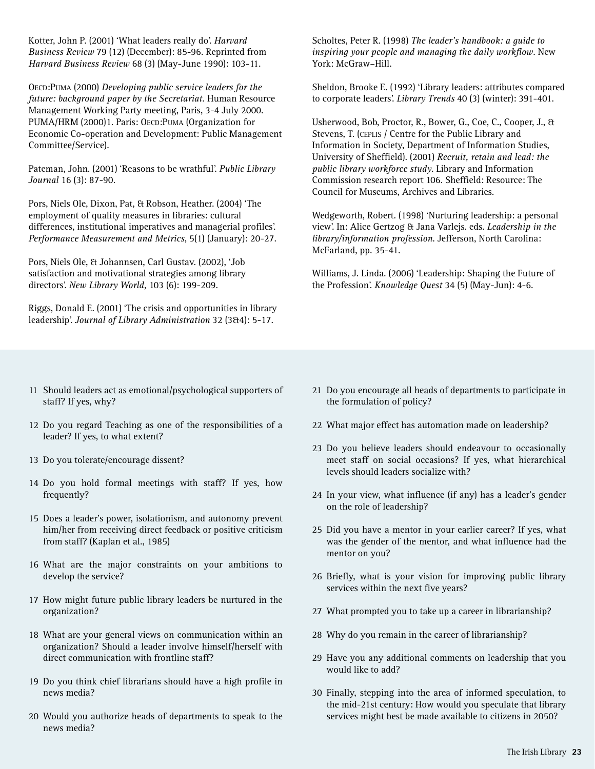Kotter, John P. (2001) 'What leaders really do'. *Harvard Business Review* 79 (12) (December): 85-96. Reprinted from *Harvard Business Review* 68 (3) (May-June 1990): 103-11.

OECD:PUMA (2000) *Developing public service leaders for the future: background paper by the Secretariat.* Human Resource Management Working Party meeting, Paris, 3-4 July 2000. PUMA/HRM (2000)1. Paris: OECD:PUMA (Organization for Economic Co-operation and Development: Public Management Committee/Service).

Pateman, John. (2001) 'Reasons to be wrathful'. *Public Library Journal* 16 (3): 87-90.

Pors, Niels Ole, Dixon, Pat, & Robson, Heather. (2004) 'The employment of quality measures in libraries: cultural differences, institutional imperatives and managerial profiles'. *Performance Measurement and Metrics*, 5(1) (January): 20-27.

Pors, Niels Ole, & Johannsen, Carl Gustav. (2002), 'Job satisfaction and motivational strategies among library directors'. *New Library World,* 103 (6): 199-209.

Riggs, Donald E. (2001) 'The crisis and opportunities in library leadership'. *Journal of Library Administration* 32 (3&4): 5-17.

11 Should leaders act as emotional/psychological supporters of staff? If yes, why?

- 12 Do you regard Teaching as one of the responsibilities of a leader? If yes, to what extent?
- 13 Do you tolerate/encourage dissent?
- 14 Do you hold formal meetings with staff? If yes, how frequently?
- 15 Does a leader's power, isolationism, and autonomy prevent him/her from receiving direct feedback or positive criticism from staff? (Kaplan et al., 1985)
- 16 What are the major constraints on your ambitions to develop the service?
- 17 How might future public library leaders be nurtured in the organization?
- 18 What are your general views on communication within an organization? Should a leader involve himself/herself with direct communication with frontline staff?
- 19 Do you think chief librarians should have a high profile in news media?
- 20 Would you authorize heads of departments to speak to the news media?

Scholtes, Peter R. (1998) *The leader's handbook: a guide to inspiring your people and managing the daily workflow*. New York: McGraw–Hill.

Sheldon, Brooke E. (1992) 'Library leaders: attributes compared to corporate leaders'. *Library Trends* 40 (3) (winter): 391-401.

Usherwood, Bob, Proctor, R., Bower, G., Coe, C., Cooper, J., & Stevens, T. (CEPLIS / Centre for the Public Library and Information in Society, Department of Information Studies, University of Sheffield). (2001) *Recruit, retain and lead: the public library workforce study*. Library and Information Commission research report 106. Sheffield: Resource: The Council for Museums, Archives and Libraries.

Wedgeworth, Robert. (1998) 'Nurturing leadership: a personal view'. In: Alice Gertzog & Jana Varlejs. eds. *Leadership in the library/information profession*. Jefferson, North Carolina: McFarland, pp. 35-41.

Williams, J. Linda. (2006) 'Leadership: Shaping the Future of the Profession'. *Knowledge Quest* 34 (5) (May-Jun): 4-6.

- 21 Do you encourage all heads of departments to participate in the formulation of policy?
- 22 What major effect has automation made on leadership?
- 23 Do you believe leaders should endeavour to occasionally meet staff on social occasions? If yes, what hierarchical levels should leaders socialize with?
- 24 In your view, what influence (if any) has a leader's gender on the role of leadership?
- 25 Did you have a mentor in your earlier career? If yes, what was the gender of the mentor, and what influence had the mentor on you?
- 26 Briefly, what is your vision for improving public library services within the next five years?
- 27 What prompted you to take up a career in librarianship?
- 28 Why do you remain in the career of librarianship?
- 29 Have you any additional comments on leadership that you would like to add?
- 30 Finally, stepping into the area of informed speculation, to the mid-21st century: How would you speculate that library services might best be made available to citizens in 2050?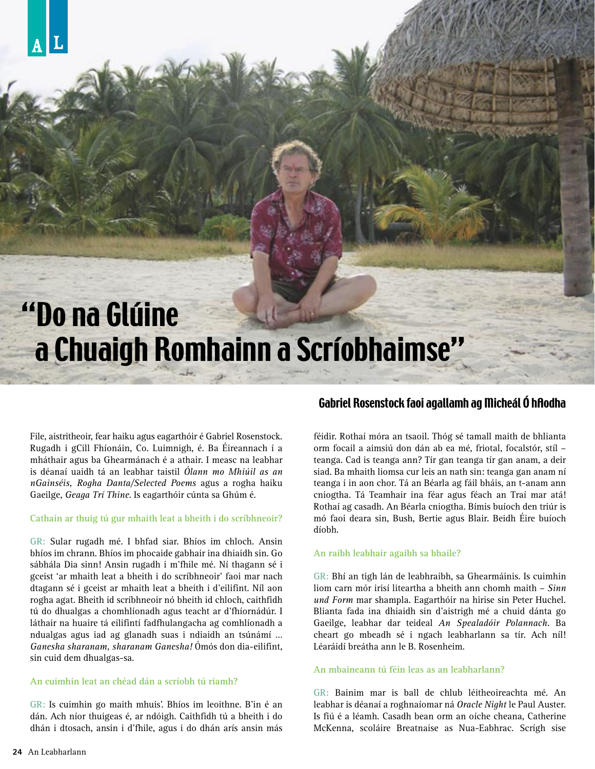## "Do na Glúine a Chuaigh Romhainn a Scríobhaimse"

File, aistritheoir, fear haiku agus eagarthóir é Gabriel Rosenstock. Rugadh i gCill Fhíonáin, Co. Luimnigh, é. Ba Éireannach í a mháthair agus ba Ghearmánach é a athair. I measc na leabhar is déanaí uaidh tá an leabhar taistil *Ólann mo Mhiúil as an nGainséis, Rogha Danta/Selected Poems* agus a rogha haiku Gaeilge, *Geaga Trí Thine*. Is eagarthóir cúnta sa Ghúm é.

#### **Cathain ar thuig tú gur mhaith leat a bheith i do scríbhneoir?**

**GR:** Sular rugadh mé. I bhfad siar. Bhíos im chloch. Ansin bhíos im chrann. Bhíos im phocaide gabhair ina dhiaidh sin. Go sábhála Dia sinn! Ansin rugadh i m'fhile mé. Ní thagann sé i gceist 'ar mhaith leat a bheith i do scríbhneoir' faoi mar nach dtagann sé i gceist ar mhaith leat a bheith i d'eilifint. Níl aon rogha agat. Bheith id scríbhneoir nó bheith id chloch, caithfidh tú do dhualgas a chomhlíonadh agus teacht ar d'fhíornádúr. I láthair na huaire tá eilifintí fadfhulangacha ag comhlíonadh a ndualgas agus iad ag glanadh suas i ndiaidh an tsúnámí … *Ganesha sharanam, sharanam Ganesha!* Ómós don dia-eilifint, sin cuid dem dhualgas-sa.

#### **An cuimhin leat an chéad dán a scríobh tú riamh?**

**GR:** Is cuimhin go maith mhuis'. Bhíos im leoithne. B'in é an dán. Ach níor thuigeas é, ar ndóigh. Caithfidh tú a bheith i do dhán i dtosach, ansin i d'fhile, agus i do dhán arís ansin más

#### Gabriel Rosenstock faoi agallamh ag Micheál Ó hAodha

féidir. Rothaí móra an tsaoil. Thóg sé tamall maith de bhlianta orm focail a aimsiú don dán ab ea mé, friotal, focalstór, stíl – teanga. Cad is teanga ann? Tír gan teanga tír gan anam, a deir siad. Ba mhaith liomsa cur leis an nath sin: teanga gan anam ní teanga í in aon chor. Tá an Béarla ag fáil bháis, an t-anam ann cniogtha. Tá Teamhair ina féar agus féach an Traí mar atá! Rothaí ag casadh. An Béarla cniogtha. Bímis buíoch den triúr is mó faoi deara sin, Bush, Bertie agus Blair. Beidh Éire buíoch díobh.

#### **An raibh leabhair agaibh sa bhaile?**

**GR:** Bhí an tigh lán de leabhraibh, sa Ghearmáinis. Is cuimhin liom carn mór irisí liteartha a bheith ann chomh maith – *Sinn und Form* mar shampla. Eagarthóir na hirise sin Peter Huchel. Blianta fada ina dhiaidh sin d'aistrigh mé a chuid dánta go Gaeilge, leabhar dar teideal *An Spealadóir Polannach.* Ba cheart go mbeadh sé i ngach leabharlann sa tír. Ach níl! Léaráidí breátha ann le B. Rosenheim.

#### **An mbaineann tú féin leas as an leabharlann?**

**GR:** Bainim mar is ball de chlub léitheoireachta mé. An leabhar is déanaí a roghnaíomar ná *Oracle Night* le Paul Auster. Is fiú é a léamh. Casadh bean orm an oíche cheana, Catherine McKenna, scoláire Breatnaise as Nua-Eabhrac. Scrígh sise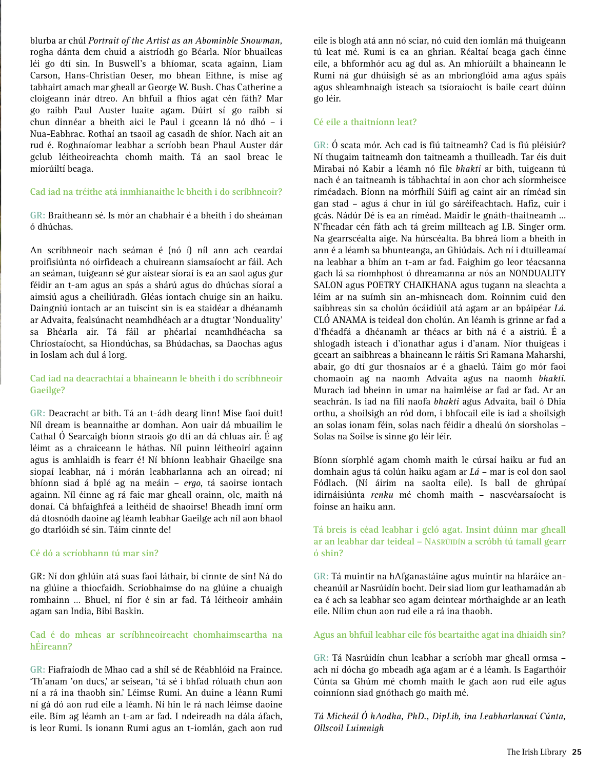blurba ar chúl *Portrait of the Artist as an Abominble Snowman,* rogha dánta dem chuid a aistríodh go Béarla. Níor bhuaileas léi go dtí sin. In Buswell's a bhíomar, scata againn, Liam Carson, Hans-Christian Oeser, mo bhean Eithne, is mise ag tabhairt amach mar gheall ar George W. Bush. Chas Catherine a cloigeann inár dtreo. An bhfuil a fhios agat cén fáth? Mar go raibh Paul Auster luaite agam. Dúirt sí go raibh sí chun dinnéar a bheith aici le Paul i gceann lá nó dhó – i Nua-Eabhrac. Rothaí an tsaoil ag casadh de shíor. Nach ait an rud é. Roghnaíomar leabhar a scríobh bean Phaul Auster dár gclub léitheoireachta chomh maith. Tá an saol breac le míorúiltí beaga.

#### **Cad iad na tréithe atá inmhianaithe le bheith i do scríbhneoir?**

**GR:** Braitheann sé. Is mór an chabhair é a bheith i do sheáman ó dhúchas.

An scríbhneoir nach seáman é (nó í) níl ann ach ceardaí proifisiúnta nó oirfideach a chuireann siamsaíocht ar fáil. Ach an seáman, tuigeann sé gur aistear síoraí is ea an saol agus gur féidir an t-am agus an spás a shárú agus do dhúchas síoraí a aimsiú agus a cheiliúradh. Gléas iontach chuige sin an haiku. Daingniú iontach ar an tuiscint sin is ea staidéar a dhéanamh ar Advaita, fealsúnacht neamhdhéach ar a dtugtar 'Nonduality' sa Bhéarla air. Tá fáil ar phéarlaí neamhdhéacha sa Chríostaíocht, sa Hiondúchas, sa Bhúdachas, sa Daochas agus in Ioslam ach dul á lorg.

#### **Cad iad na deacrachtaí a bhaineann le bheith i do scríbhneoir Gaeilge?**

**GR:** Deacracht ar bith. Tá an t-ádh dearg linn! Mise faoi duit! Níl dream is beannaithe ar domhan. Aon uair dá mbuailim le Cathal Ó Searcaigh bíonn straois go dtí an dá chluas air. É ag léimt as a chraiceann le háthas. Níl puinn léitheoirí againn agus is amhlaidh is fearr é! Ní bhíonn leabhair Ghaeilge sna siopaí leabhar, ná i mórán leabharlanna ach an oiread; ní bhíonn siad á bplé ag na meáin – *ergo*, tá saoirse iontach againn. Níl éinne ag rá faic mar gheall orainn, olc, maith ná donaí. Cá bhfaighfeá a leithéid de shaoirse! Bheadh imní orm dá dtosnódh daoine ag léamh leabhar Gaeilge ach níl aon bhaol go dtarlóidh sé sin. Táim cinnte de!

#### **Cé dó a scríobhann tú mar sin?**

GR: Ní don ghlúin atá suas faoi láthair, bí cinnte de sin! Ná do na glúine a thiocfaidh. Scríobhaimse do na glúine a chuaigh romhainn … Bhuel, ní fíor é sin ar fad. Tá léitheoir amháin agam san India, Bibi Baskin.

#### **Cad é do mheas ar scríbhneoireacht chomhaimseartha na hÉireann?**

**GR:** Fiafraíodh de Mhao cad a shíl sé de Réabhlóid na Fraince. 'Th'anam 'on ducs,' ar seisean, 'tá sé i bhfad róluath chun aon ní a rá ina thaobh sin.' Léimse Rumi. An duine a léann Rumi ní gá dó aon rud eile a léamh. Ní hin le rá nach léimse daoine eile. Bím ag léamh an t-am ar fad. I ndeireadh na dála áfach, is leor Rumi. Is ionann Rumi agus an t-iomlán, gach aon rud

eile is blogh atá ann nó sciar, nó cuid den iomlán má thuigeann tú leat mé. Rumi is ea an ghrian. Réaltaí beaga gach éinne eile, a bhformhór acu ag dul as. An mhíorúilt a bhaineann le Rumi ná gur dhúisigh sé as an mbrionglóid ama agus spáis agus shleamhnaigh isteach sa tsíoraíocht is baile ceart dúinn go léir.

#### **Cé eile a thaitníonn leat?**

**GR:** Ó scata mór. Ach cad is fiú taitneamh? Cad is fiú pléisiúr? Ní thugaim taitneamh don taitneamh a thuilleadh. Tar éis duit Mirabai nó Kabir a léamh nó file *bhakti* ar bith, tuigeann tú nach é an taitneamh is tábhachtaí in aon chor ach síormheisce ríméadach. Bíonn na mórfhilí Súifí ag caint air an ríméad sin gan stad – agus á chur in iúl go sáréifeachtach. Hafiz, cuir i gcás. Nádúr Dé is ea an ríméad. Maidir le gnáth-thaitneamh … N'fheadar cén fáth ach tá greim millteach ag I.B. Singer orm. Na gearrscéalta aige. Na húrscéalta. Ba bhreá liom a bheith in ann é a léamh sa bhunteanga, an Ghiúdais. Ach ní i dtuilleamaí na leabhar a bhím an t-am ar fad. Faighim go leor téacsanna gach lá sa ríomhphost ó dhreamanna ar nós an NONDUALITY SALON agus POETRY CHAIKHANA agus tugann na sleachta a léim ar na suímh sin an-mhisneach dom. Roinnim cuid den saibhreas sin sa cholún ócáidiúil atá agam ar an bpáipéar *Lá*. CLÓ ANAMA is teideal don cholún. An léamh is grinne ar fad a d'fhéadfá a dhéanamh ar théacs ar bith ná é a aistriú. É a shlogadh isteach i d'ionathar agus i d'anam. Níor thuigeas i gceart an saibhreas a bhaineann le ráitis Sri Ramana Maharshi, abair, go dtí gur thosnaíos ar é a ghaelú. Táim go mór faoi chomaoin ag na naomh Advaita agus na naomh *bhakti*. Murach iad bheinn in umar na haimléise ar fad ar fad. Ar an seachrán. Is iad na filí naofa *bhakti* agus Advaita, bail ó Dhia orthu, a shoilsigh an ród dom, i bhfocail eile is iad a shoilsigh an solas ionam féin, solas nach féidir a dhealú ón síorsholas – Solas na Soilse is sinne go léir léir.

Bíonn síorphlé agam chomh maith le cúrsaí haiku ar fud an domhain agus tá colún haiku agam ar *Lá* – mar is eol don saol Fódlach. (Ní áirím na saolta eile). Is ball de ghrúpaí idirnáisiúnta *renku* mé chomh maith – nascvéarsaíocht is foinse an haiku ann.

#### **Tá breis is céad leabhar i gcló agat. Insint dúinn mar gheall ar an leabhar dar teideal – NASRÚIDÍN a scróbh tú tamall gearr ó shin?**

**GR:** Tá muintir na hAfganastáine agus muintir na hIaráice ancheanúil ar Nasrúidín bocht. Deir siad liom gur leathamadán ab ea é ach sa leabhar seo agam deintear mórthaighde ar an leath eile. Nílim chun aon rud eile a rá ina thaobh.

#### **Agus an bhfuil leabhar eile fós beartaithe agat ina dhiaidh sin?**

**GR:** Tá Nasrúidín chun leabhar a scríobh mar gheall ormsa – ach ní dócha go mbeadh aga agam ar é a léamh. Is Eagarthóir Cúnta sa Ghúm mé chomh maith le gach aon rud eile agus coinníonn siad gnóthach go maith mé.

*Tá Micheál Ó hAodha, PhD., DipLib, ina Leabharlannaí Cúnta, Ollscoil Luimnigh*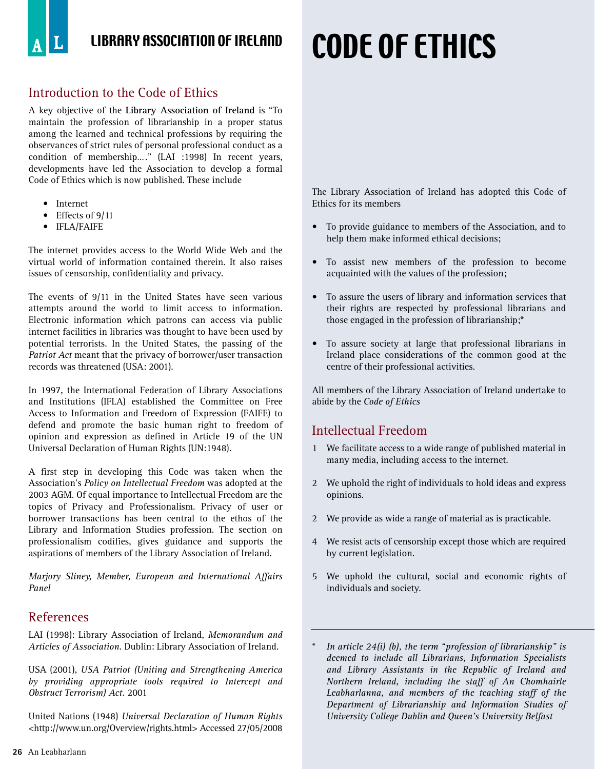## LIBRARY ASSOCIATION OF IRELAND

## CODE OF ETHICS

## Introduction to the Code of Ethics

A key objective of the **Library Association of Ireland** is "To maintain the profession of librarianship in a proper status among the learned and technical professions by requiring the observances of strict rules of personal professional conduct as a condition of membership…." (LAI :1998) In recent years, developments have led the Association to develop a formal Code of Ethics which is now published. These include

- Internet
- Effects of 9/11
- IFLA/FAIFE

The internet provides access to the World Wide Web and the virtual world of information contained therein. It also raises issues of censorship, confidentiality and privacy.

The events of 9/11 in the United States have seen various attempts around the world to limit access to information. Electronic information which patrons can access via public internet facilities in libraries was thought to have been used by potential terrorists. In the United States, the passing of the *Patriot Act* meant that the privacy of borrower/user transaction records was threatened (USA: 2001).

In 1997, the International Federation of Library Associations and Institutions (IFLA) established the Committee on Free Access to Information and Freedom of Expression (FAIFE) to defend and promote the basic human right to freedom of opinion and expression as defined in Article 19 of the UN Universal Declaration of Human Rights (UN:1948).

A first step in developing this Code was taken when the Association's *Policy on Intellectual Freedom* was adopted at the 2003 AGM. Of equal importance to Intellectual Freedom are the topics of Privacy and Professionalism. Privacy of user or borrower transactions has been central to the ethos of the Library and Information Studies profession. The section on professionalism codifies, gives guidance and supports the aspirations of members of the Library Association of Ireland.

*Marjory Sliney, Member, European and International Affairs Panel*

## References

LAI (1998): Library Association of Ireland, *Memorandum and Articles of Association.* Dublin: Library Association of Ireland.

USA (2001), *USA Patriot (Uniting and Strengthening America by providing appropriate tools required to Intercept and Obstruct Terrorism) Act.* 2001

United Nations (1948) *Universal Declaration of Human Rights* <http://www.un.org/Overview/rights.html> Accessed 27/05/2008

The Library Association of Ireland has adopted this Code of Ethics for its members

- To provide guidance to members of the Association, and to help them make informed ethical decisions;
- To assist new members of the profession to become acquainted with the values of the profession;
- To assure the users of library and information services that their rights are respected by professional librarians and those engaged in the profession of librarianship;\*
- To assure society at large that professional librarians in Ireland place considerations of the common good at the centre of their professional activities.

All members of the Library Association of Ireland undertake to abide by the *Code of Ethics*

## Intellectual Freedom

- 1 We facilitate access to a wide range of published material in many media, including access to the internet.
- 2 We uphold the right of individuals to hold ideas and express opinions.
- 2 We provide as wide a range of material as is practicable.
- 4 We resist acts of censorship except those which are required by current legislation.
- 5 We uphold the cultural, social and economic rights of individuals and society.
- *In article 24(i) (b), the term "profession of librarianship" is deemed to include all Librarians, Information Specialists and Library Assistants in the Republic of Ireland and Northern Ireland, including the staff of An Chomhairle Leabharlanna, and members of the teaching staff of the Department of Librarianship and Information Studies of University College Dublin and Queen's University Belfast*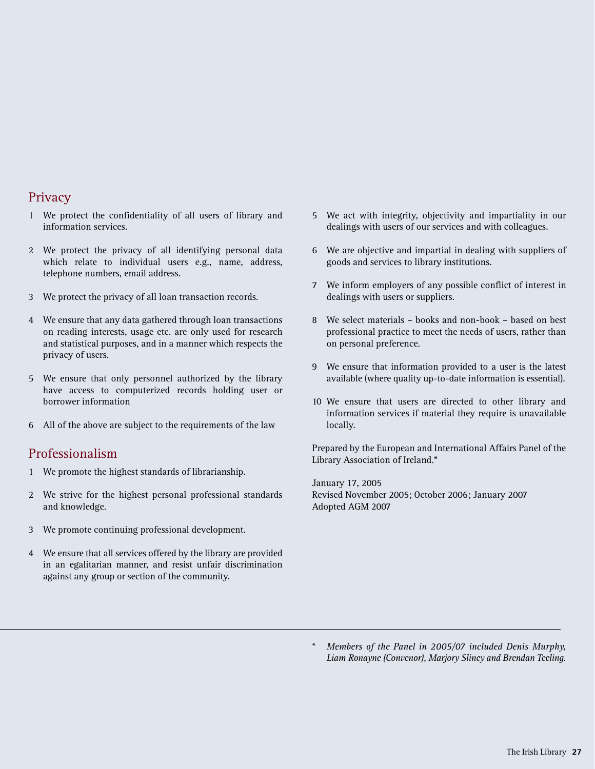## Privacy

- 1 We protect the confidentiality of all users of library and information services.
- 2 We protect the privacy of all identifying personal data which relate to individual users e.g., name, address, telephone numbers, email address.
- 3 We protect the privacy of all loan transaction records.
- 4 We ensure that any data gathered through loan transactions on reading interests, usage etc. are only used for research and statistical purposes, and in a manner which respects the privacy of users.
- 5 We ensure that only personnel authorized by the library have access to computerized records holding user or borrower information
- 6 All of the above are subject to the requirements of the law

## Professionalism

- 1 We promote the highest standards of librarianship.
- 2 We strive for the highest personal professional standards and knowledge.
- 3 We promote continuing professional development.
- 4 We ensure that all services offered by the library are provided in an egalitarian manner, and resist unfair discrimination against any group or section of the community.
- 5 We act with integrity, objectivity and impartiality in our dealings with users of our services and with colleagues.
- 6 We are objective and impartial in dealing with suppliers of goods and services to library institutions.
- 7 We inform employers of any possible conflict of interest in dealings with users or suppliers.
- 8 We select materials books and non-book based on best professional practice to meet the needs of users, rather than on personal preference.
- 9 We ensure that information provided to a user is the latest available (where quality up-to-date information is essential).
- 10 We ensure that users are directed to other library and information services if material they require is unavailable locally.

Prepared by the European and International Affairs Panel of the Library Association of Ireland.\*

January 17, 2005 Revised November 2005; October 2006; January 2007 Adopted AGM 2007

\* *Members of the Panel in 2005/07 included Denis Murphy, Liam Ronayne (Convenor), Marjory Sliney and Brendan Teeling.*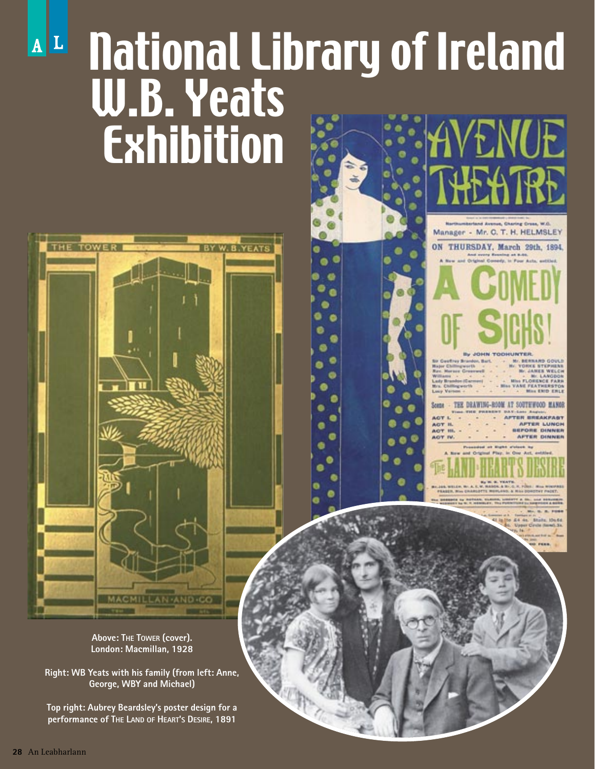## $\mathbf{A}$ | L National Library of Ireland W.B. Yeats Exhibition ENUE

Manager - Mr. C. T. H. HELMSLEY ON THURSDAY, March 29th, 1894.

**END ENLE** 

**AFTER LUNCH IFORE DINNER** 

**AFTER DINNER** 

TEE DRAWING-ROOM AT SOUTHWOOD MANOR

**ACT ACT IV** 



**Right: WB Yeats with his family (from left: Anne, George, WBY and Michael)**

**Top right: Aubrey Beardsley's poster design for a performance of THE LAND OF HEART'S DESIRE, 1891**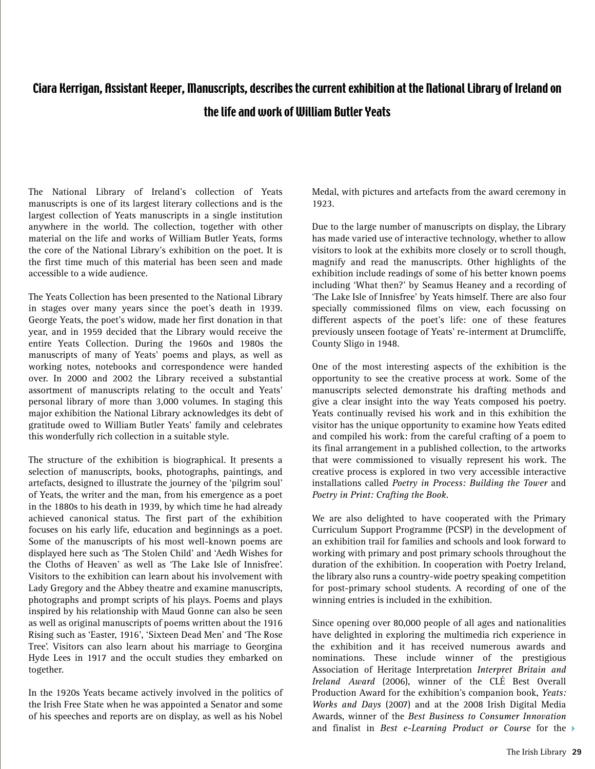## Ciara Kerrigan, Assistant Keeper, Manuscripts, describes the current exhibition at the National Library of Ireland on the life and work of William Butler Yeats

The National Library of Ireland's collection of Yeats manuscripts is one of its largest literary collections and is the largest collection of Yeats manuscripts in a single institution anywhere in the world. The collection, together with other material on the life and works of William Butler Yeats, forms the core of the National Library's exhibition on the poet. It is the first time much of this material has been seen and made accessible to a wide audience.

The Yeats Collection has been presented to the National Library in stages over many years since the poet's death in 1939. George Yeats, the poet's widow, made her first donation in that year, and in 1959 decided that the Library would receive the entire Yeats Collection. During the 1960s and 1980s the manuscripts of many of Yeats' poems and plays, as well as working notes, notebooks and correspondence were handed over. In 2000 and 2002 the Library received a substantial assortment of manuscripts relating to the occult and Yeats' personal library of more than 3,000 volumes. In staging this major exhibition the National Library acknowledges its debt of gratitude owed to William Butler Yeats' family and celebrates this wonderfully rich collection in a suitable style.

The structure of the exhibition is biographical. It presents a selection of manuscripts, books, photographs, paintings, and artefacts, designed to illustrate the journey of the 'pilgrim soul' of Yeats, the writer and the man, from his emergence as a poet in the 1880s to his death in 1939, by which time he had already achieved canonical status. The first part of the exhibition focuses on his early life, education and beginnings as a poet. Some of the manuscripts of his most well-known poems are displayed here such as 'The Stolen Child' and 'Aedh Wishes for the Cloths of Heaven' as well as 'The Lake Isle of Innisfree'. Visitors to the exhibition can learn about his involvement with Lady Gregory and the Abbey theatre and examine manuscripts, photographs and prompt scripts of his plays. Poems and plays inspired by his relationship with Maud Gonne can also be seen as well as original manuscripts of poems written about the 1916 Rising such as 'Easter, 1916', 'Sixteen Dead Men' and 'The Rose Tree'. Visitors can also learn about his marriage to Georgina Hyde Lees in 1917 and the occult studies they embarked on together.

In the 1920s Yeats became actively involved in the politics of the Irish Free State when he was appointed a Senator and some of his speeches and reports are on display, as well as his Nobel

Medal, with pictures and artefacts from the award ceremony in 1923.

Due to the large number of manuscripts on display, the Library has made varied use of interactive technology, whether to allow visitors to look at the exhibits more closely or to scroll though, magnify and read the manuscripts. Other highlights of the exhibition include readings of some of his better known poems including 'What then?' by Seamus Heaney and a recording of 'The Lake Isle of Innisfree' by Yeats himself. There are also four specially commissioned films on view, each focussing on different aspects of the poet's life: one of these features previously unseen footage of Yeats' re-interment at Drumcliffe, County Sligo in 1948.

One of the most interesting aspects of the exhibition is the opportunity to see the creative process at work. Some of the manuscripts selected demonstrate his drafting methods and give a clear insight into the way Yeats composed his poetry. Yeats continually revised his work and in this exhibition the visitor has the unique opportunity to examine how Yeats edited and compiled his work: from the careful crafting of a poem to its final arrangement in a published collection, to the artworks that were commissioned to visually represent his work. The creative process is explored in two very accessible interactive installations called *Poetry in Process: Building the Tower* and *Poetry in Print: Crafting the Book.* 

We are also delighted to have cooperated with the Primary Curriculum Support Programme (PCSP) in the development of an exhibition trail for families and schools and look forward to working with primary and post primary schools throughout the duration of the exhibition. In cooperation with Poetry Ireland, the library also runs a country-wide poetry speaking competition for post-primary school students. A recording of one of the winning entries is included in the exhibition.

Since opening over 80,000 people of all ages and nationalities have delighted in exploring the multimedia rich experience in the exhibition and it has received numerous awards and nominations. These include winner of the prestigious Association of Heritage Interpretation *Interpret Britain and Ireland Award* (2006), winner of the CLÉ Best Overall Production Award for the exhibition's companion book, *Yeats: Works and Days* (2007) and at the 2008 Irish Digital Media Awards, winner of the *Best Business to Consumer Innovation* and finalist in *Best e-Learning Product or Course* for the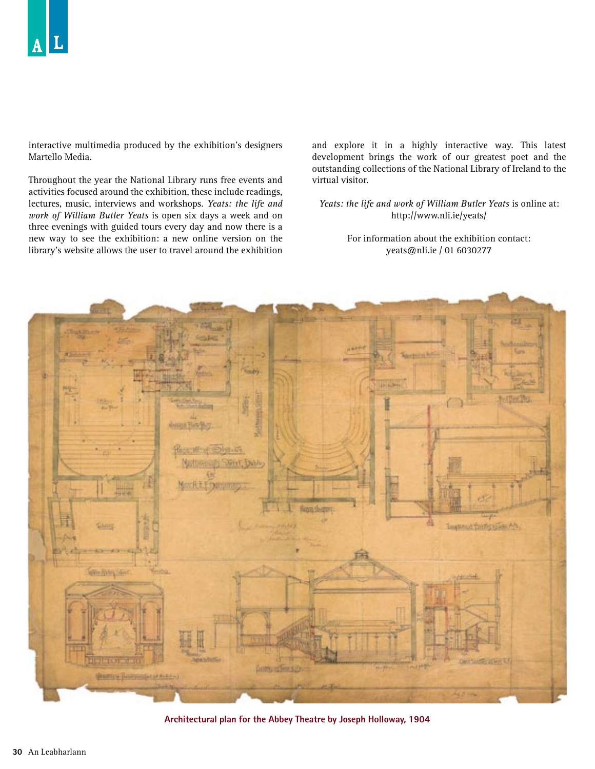interactive multimedia produced by the exhibition's designers Martello Media.

Throughout the year the National Library runs free events and activities focused around the exhibition, these include readings, lectures, music, interviews and workshops. *Yeats: the life and work of William Butler Yeats* is open six days a week and on three evenings with guided tours every day and now there is a new way to see the exhibition: a new online version on the library's website allows the user to travel around the exhibition and explore it in a highly interactive way. This latest development brings the work of our greatest poet and the outstanding collections of the National Library of Ireland to the virtual visitor.

*Yeats: the life and work of William Butler Yeats* is online at: http://www.nli.ie/yeats/

> For information about the exhibition contact: yeats@nli.ie / 01 6030277



**Architectural plan for the Abbey Theatre by Joseph Holloway, 1904**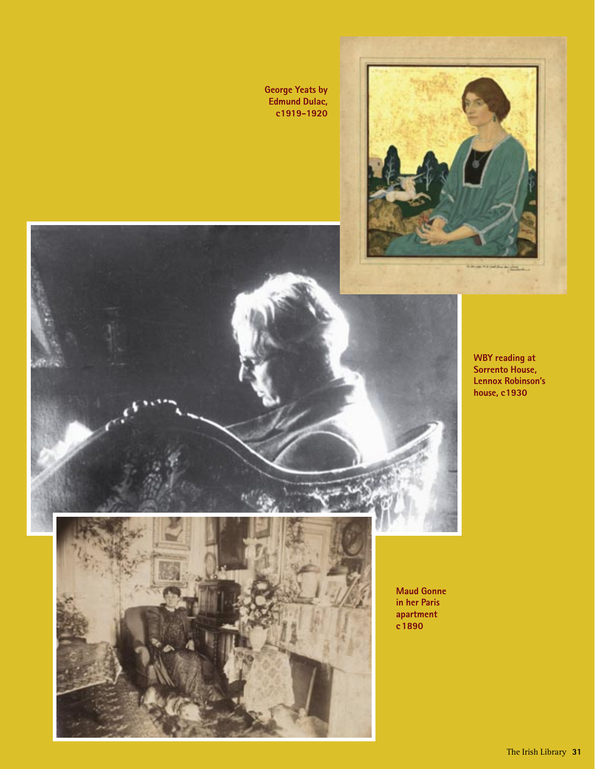**George Yeats by Edmund Dulac, c 1919-1920**



**WBY reading at Sorrento House, Lennox Robinson's house, c1930**

**Maud Gonne in her Paris apartment c 1890**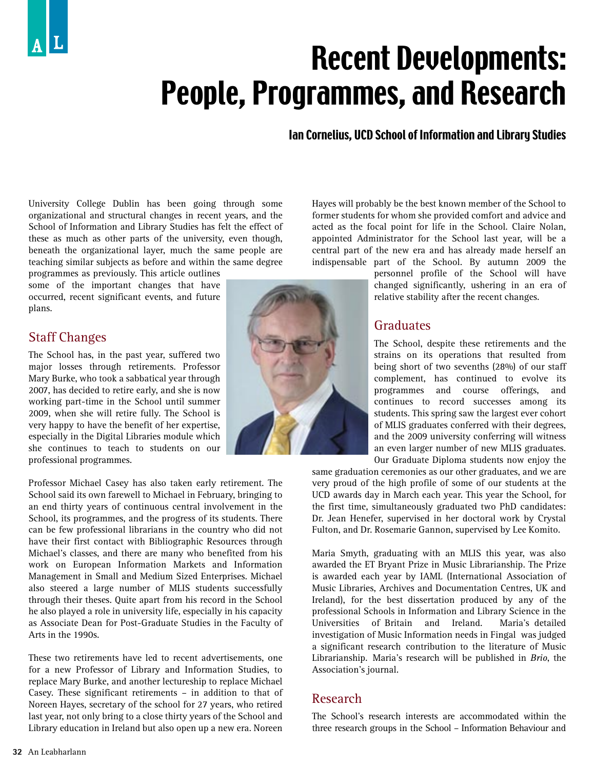## Recent Developments: People, Programmes, and Research

## Ian Cornelius, UCD School of Information and Library Studies

University College Dublin has been going through some organizational and structural changes in recent years, and the School of Information and Library Studies has felt the effect of these as much as other parts of the university, even though, beneath the organizational layer, much the same people are teaching similar subjects as before and within the same degree

programmes as previously. This article outlines some of the important changes that have occurred, recent significant events, and future plans.

## Staff Changes

The School has, in the past year, suffered two major losses through retirements. Professor Mary Burke, who took a sabbatical year through 2007, has decided to retire early, and she is now working part-time in the School until summer 2009, when she will retire fully. The School is very happy to have the benefit of her expertise, especially in the Digital Libraries module which she continues to teach to students on our professional programmes.

Professor Michael Casey has also taken early retirement. The School said its own farewell to Michael in February, bringing to an end thirty years of continuous central involvement in the School, its programmes, and the progress of its students. There can be few professional librarians in the country who did not have their first contact with Bibliographic Resources through Michael's classes, and there are many who benefited from his work on European Information Markets and Information Management in Small and Medium Sized Enterprises. Michael also steered a large number of MLIS students successfully through their theses. Quite apart from his record in the School he also played a role in university life, especially in his capacity as Associate Dean for Post-Graduate Studies in the Faculty of Arts in the 1990s.

These two retirements have led to recent advertisements, one for a new Professor of Library and Information Studies, to replace Mary Burke, and another lectureship to replace Michael Casey. These significant retirements – in addition to that of Noreen Hayes, secretary of the school for 27 years, who retired last year, not only bring to a close thirty years of the School and Library education in Ireland but also open up a new era. Noreen



Hayes will probably be the best known member of the School to former students for whom she provided comfort and advice and acted as the focal point for life in the School. Claire Nolan, appointed Administrator for the School last year, will be a central part of the new era and has already made herself an indispensable part of the School. By autumn 2009 the

personnel profile of the School will have changed significantly, ushering in an era of relative stability after the recent changes.

## **Graduates**

The School, despite these retirements and the strains on its operations that resulted from being short of two sevenths (28%) of our staff complement, has continued to evolve its programmes and course offerings, and continues to record successes among its students. This spring saw the largest ever cohort of MLIS graduates conferred with their degrees, and the 2009 university conferring will witness an even larger number of new MLIS graduates. Our Graduate Diploma students now enjoy the

same graduation ceremonies as our other graduates, and we are very proud of the high profile of some of our students at the UCD awards day in March each year. This year the School, for the first time, simultaneously graduated two PhD candidates: Dr. Jean Henefer, supervised in her doctoral work by Crystal Fulton, and Dr. Rosemarie Gannon, supervised by Lee Komito.

Maria Smyth, graduating with an MLIS this year, was also awarded the ET Bryant Prize in Music Librarianship. The Prize is awarded each year by IAML (International Association of Music Libraries, Archives and Documentation Centres, UK and Ireland), for the best dissertation produced by any of the professional Schools in Information and Library Science in the Universities of Britain and Ireland. Maria's detailed investigation of Music Information needs in Fingal was judged a significant research contribution to the literature of Music Librarianship. Maria's research will be published in *Brio*, the Association's journal.

## Research

The School's research interests are accommodated within the three research groups in the School – Information Behaviour and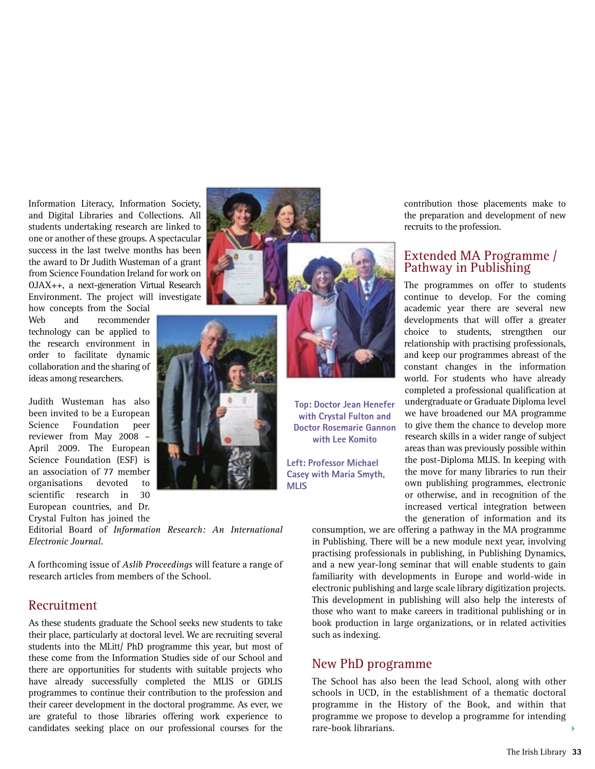Information Literacy, Information Society, and Digital Libraries and Collections. All students undertaking research are linked to one or another of these groups. A spectacular success in the last twelve months has been the award to Dr Judith Wusteman of a grant from Science Foundation Ireland for work on OJAX++, a next-generation Virtual Research Environment. The project will investigate

how concepts from the Social Web and recommender technology can be applied to the research environment in order to facilitate dynamic collaboration and the sharing of ideas among researchers.

Judith Wusteman has also been invited to be a European Science Foundation peer reviewer from May 2008 – April 2009. The European Science Foundation (ESF) is an association of 77 member organisations devoted to scientific research in 30 European countries, and Dr. Crystal Fulton has joined the



Editorial Board of *Information Research: An International Electronic Journal.*

A forthcoming issue of *Aslib Proceedings* will feature a range of research articles from members of the School.

### Recruitment

As these students graduate the School seeks new students to take their place, particularly at doctoral level. We are recruiting several students into the MLitt/ PhD programme this year, but most of these come from the Information Studies side of our School and there are opportunities for students with suitable projects who have already successfully completed the MLIS or GDLIS programmes to continue their contribution to the profession and their career development in the doctoral programme. As ever, we are grateful to those libraries offering work experience to candidates seeking place on our professional courses for the



**Top: Doctor Jean Henefer with Crystal Fulton and Doctor Rosemarie Gannon with Lee Komito**

**Left: Professor Michael Casey with Maria Smyth, MLIS**

contribution those placements make to the preparation and development of new recruits to the profession.

#### Extended MA Programme / Pathway in Publishing

The programmes on offer to students continue to develop. For the coming academic year there are several new developments that will offer a greater choice to students, strengthen our relationship with practising professionals, and keep our programmes abreast of the constant changes in the information world. For students who have already completed a professional qualification at undergraduate or Graduate Diploma level we have broadened our MA programme to give them the chance to develop more research skills in a wider range of subject areas than was previously possible within the post-Diploma MLIS. In keeping with the move for many libraries to run their own publishing programmes, electronic or otherwise, and in recognition of the increased vertical integration between the generation of information and its

consumption, we are offering a pathway in the MA programme in Publishing. There will be a new module next year, involving practising professionals in publishing, in Publishing Dynamics, and a new year-long seminar that will enable students to gain familiarity with developments in Europe and world-wide in electronic publishing and large scale library digitization projects. This development in publishing will also help the interests of those who want to make careers in traditional publishing or in book production in large organizations, or in related activities such as indexing.

### New PhD programme

The School has also been the lead School, along with other schools in UCD, in the establishment of a thematic doctoral programme in the History of the Book, and within that programme we propose to develop a programme for intending rare-book librarians.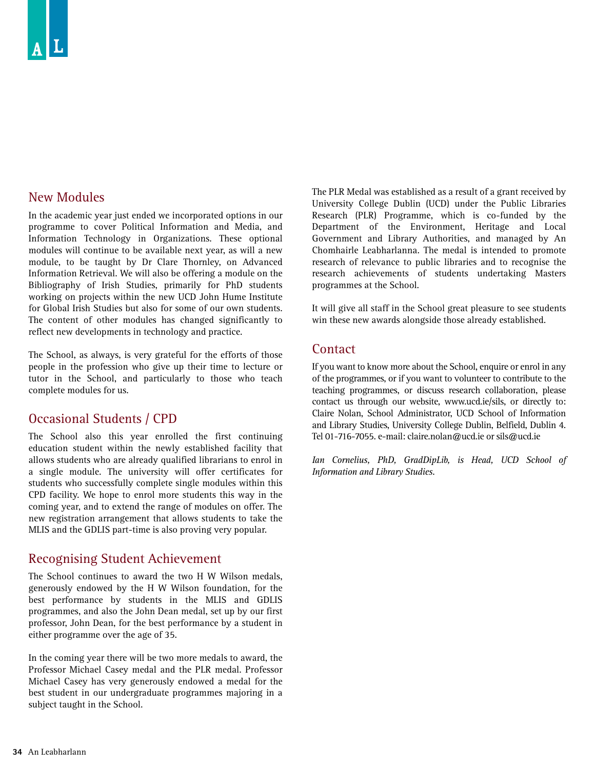## New Modules

In the academic year just ended we incorporated options in our programme to cover Political Information and Media, and Information Technology in Organizations. These optional modules will continue to be available next year, as will a new module, to be taught by Dr Clare Thornley, on Advanced Information Retrieval. We will also be offering a module on the Bibliography of Irish Studies, primarily for PhD students working on projects within the new UCD John Hume Institute for Global Irish Studies but also for some of our own students. The content of other modules has changed significantly to reflect new developments in technology and practice.

The School, as always, is very grateful for the efforts of those people in the profession who give up their time to lecture or tutor in the School, and particularly to those who teach complete modules for us.

## Occasional Students / CPD

The School also this year enrolled the first continuing education student within the newly established facility that allows students who are already qualified librarians to enrol in a single module. The university will offer certificates for students who successfully complete single modules within this CPD facility. We hope to enrol more students this way in the coming year, and to extend the range of modules on offer. The new registration arrangement that allows students to take the MLIS and the GDLIS part-time is also proving very popular.

### Recognising Student Achievement

The School continues to award the two H W Wilson medals, generously endowed by the H W Wilson foundation, for the best performance by students in the MLIS and GDLIS programmes, and also the John Dean medal, set up by our first professor, John Dean, for the best performance by a student in either programme over the age of 35.

In the coming year there will be two more medals to award, the Professor Michael Casey medal and the PLR medal. Professor Michael Casey has very generously endowed a medal for the best student in our undergraduate programmes majoring in a subject taught in the School.

The PLR Medal was established as a result of a grant received by University College Dublin (UCD) under the Public Libraries Research (PLR) Programme, which is co-funded by the Department of the Environment, Heritage and Local Government and Library Authorities, and managed by An Chomhairle Leabharlanna. The medal is intended to promote research of relevance to public libraries and to recognise the research achievements of students undertaking Masters programmes at the School.

It will give all staff in the School great pleasure to see students win these new awards alongside those already established.

### **Contact**

If you want to know more about the School, enquire or enrol in any of the programmes, or if you want to volunteer to contribute to the teaching programmes, or discuss research collaboration, please contact us through our website, www.ucd.ie/sils, or directly to: Claire Nolan, School Administrator, UCD School of Information and Library Studies, University College Dublin, Belfield, Dublin 4. Tel 01-716-7055. e-mail: claire.nolan@ucd.ie or sils@ucd.ie

*Ian Cornelius, PhD, GradDipLib, is Head, UCD School of Information and Library Studies.*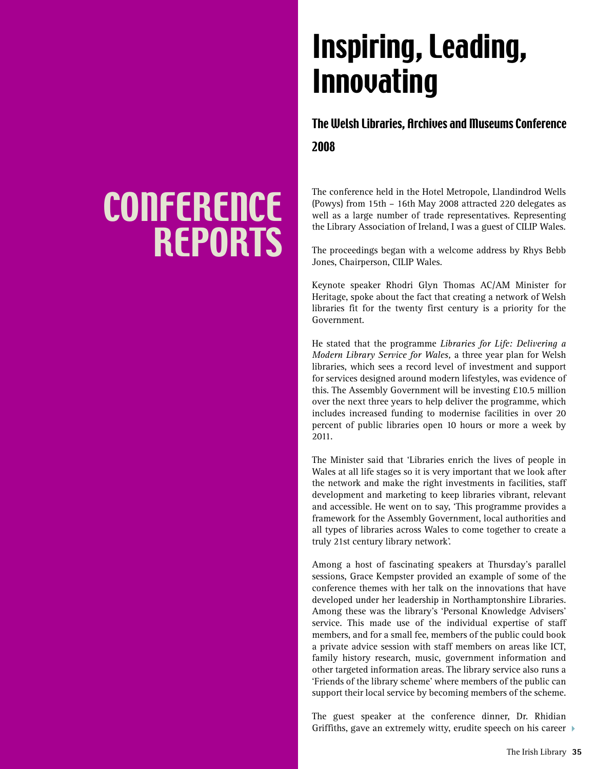## Inspiring, Leading, Innovating

## The Welsh Libraries, Archives and Museums Conference

2008

The conference held in the Hotel Metropole, Llandindrod Wells (Powys) from 15th – 16th May 2008 attracted 220 delegates as well as a large number of trade representatives. Representing the Library Association of Ireland, I was a guest of CILIP Wales.

The proceedings began with a welcome address by Rhys Bebb Jones, Chairperson, CILIP Wales.

Keynote speaker Rhodri Glyn Thomas AC/AM Minister for Heritage, spoke about the fact that creating a network of Welsh libraries fit for the twenty first century is a priority for the Government.

He stated that the programme *Libraries for Life: Delivering a Modern Library Service for Wales,* a three year plan for Welsh libraries, which sees a record level of investment and support for services designed around modern lifestyles, was evidence of this. The Assembly Government will be investing £10.5 million over the next three years to help deliver the programme, which includes increased funding to modernise facilities in over 20 percent of public libraries open 10 hours or more a week by 2011.

The Minister said that 'Libraries enrich the lives of people in Wales at all life stages so it is very important that we look after the network and make the right investments in facilities, staff development and marketing to keep libraries vibrant, relevant and accessible. He went on to say, 'This programme provides a framework for the Assembly Government, local authorities and all types of libraries across Wales to come together to create a truly 21st century library network'.

Among a host of fascinating speakers at Thursday's parallel sessions, Grace Kempster provided an example of some of the conference themes with her talk on the innovations that have developed under her leadership in Northamptonshire Libraries. Among these was the library's 'Personal Knowledge Advisers' service. This made use of the individual expertise of staff members, and for a small fee, members of the public could book a private advice session with staff members on areas like ICT, family history research, music, government information and other targeted information areas. The library service also runs a 'Friends of the library scheme' where members of the public can support their local service by becoming members of the scheme.

The guest speaker at the conference dinner, Dr. Rhidian Griffiths, gave an extremely witty, erudite speech on his career  $\rightarrow$ 

## **CONFERENCE** REPORTS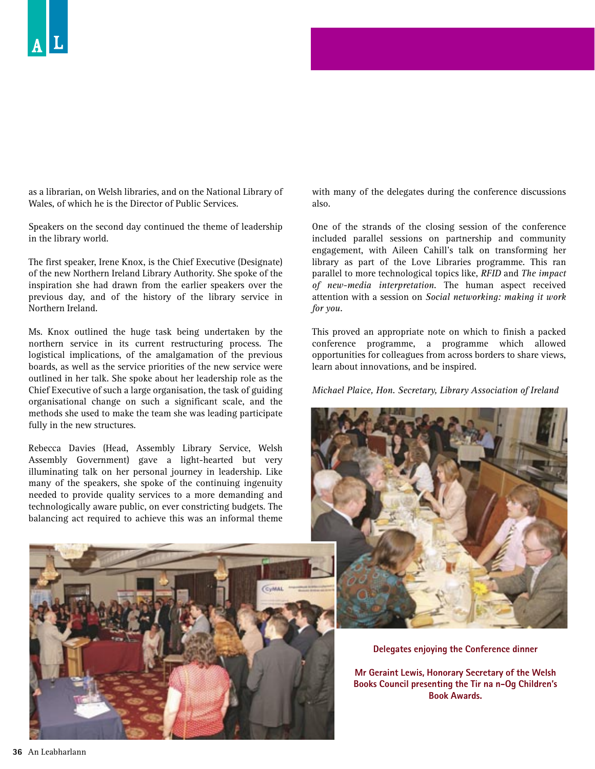as a librarian, on Welsh libraries, and on the National Library of Wales, of which he is the Director of Public Services.

Speakers on the second day continued the theme of leadership in the library world.

The first speaker, Irene Knox, is the Chief Executive (Designate) of the new Northern Ireland Library Authority. She spoke of the inspiration she had drawn from the earlier speakers over the previous day, and of the history of the library service in Northern Ireland.

Ms. Knox outlined the huge task being undertaken by the northern service in its current restructuring process. The logistical implications, of the amalgamation of the previous boards, as well as the service priorities of the new service were outlined in her talk. She spoke about her leadership role as the Chief Executive of such a large organisation, the task of guiding organisational change on such a significant scale, and the methods she used to make the team she was leading participate fully in the new structures.

Rebecca Davies (Head, Assembly Library Service, Welsh Assembly Government) gave a light-hearted but very illuminating talk on her personal journey in leadership. Like many of the speakers, she spoke of the continuing ingenuity needed to provide quality services to a more demanding and technologically aware public, on ever constricting budgets. The balancing act required to achieve this was an informal theme



with many of the delegates during the conference discussions also.

One of the strands of the closing session of the conference included parallel sessions on partnership and community engagement, with Aileen Cahill's talk on transforming her library as part of the Love Libraries programme. This ran parallel to more technological topics like, *RFID* and *The impact of new-media interpretation.* The human aspect received attention with a session on *Social networking: making it work for you.*

This proved an appropriate note on which to finish a packed conference programme, a programme which allowed opportunities for colleagues from across borders to share views, learn about innovations, and be inspired.

*Michael Plaice, Hon. Secretary, Library Association of Ireland*



**Delegates enjoying the Conference dinner**

**Mr Geraint Lewis, Honorary Secretary of the Welsh Books Council presenting the Tir na n-Og Children's Book Awards.**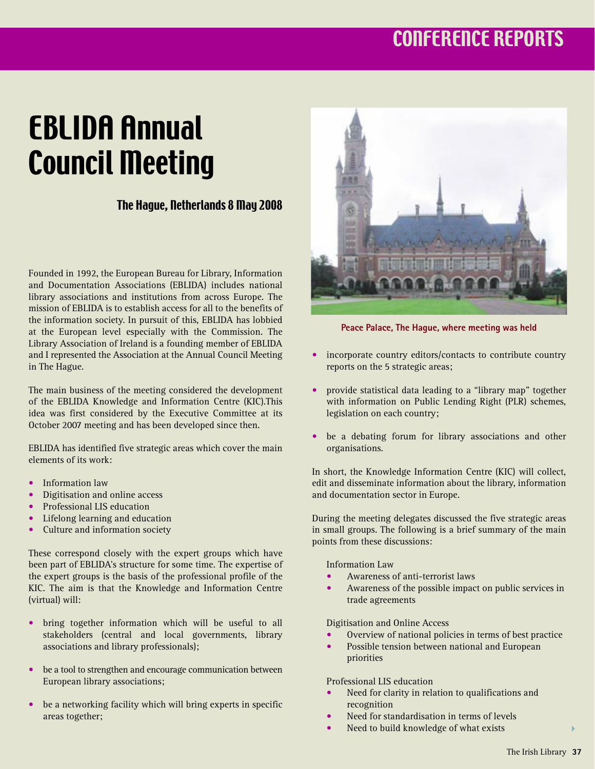## CONFERENCE REPORTS

## EBLIDA Annual Council Meeting

## The Hague, Netherlands 8 May 2008

Founded in 1992, the European Bureau for Library, Information and Documentation Associations (EBLIDA) includes national library associations and institutions from across Europe. The mission of EBLIDA is to establish access for all to the benefits of the information society. In pursuit of this, EBLIDA has lobbied at the European level especially with the Commission. The Library Association of Ireland is a founding member of EBLIDA and I represented the Association at the Annual Council Meeting in The Hague.

The main business of the meeting considered the development of the EBLIDA Knowledge and Information Centre (KIC).This idea was first considered by the Executive Committee at its October 2007 meeting and has been developed since then.

EBLIDA has identified five strategic areas which cover the main elements of its work:

- Information law
- Digitisation and online access
- Professional LIS education
- Lifelong learning and education
- Culture and information society

These correspond closely with the expert groups which have been part of EBLIDA's structure for some time. The expertise of the expert groups is the basis of the professional profile of the KIC. The aim is that the Knowledge and Information Centre (virtual) will:

- bring together information which will be useful to all stakeholders (central and local governments, library associations and library professionals);
- be a tool to strengthen and encourage communication between European library associations;
- be a networking facility which will bring experts in specific areas together;



**Peace Palace, The Hague, where meeting was held**

- incorporate country editors/contacts to contribute country reports on the 5 strategic areas;
- provide statistical data leading to a "library map" together with information on Public Lending Right (PLR) schemes, legislation on each country;
- be a debating forum for library associations and other organisations.

In short, the Knowledge Information Centre (KIC) will collect, edit and disseminate information about the library, information and documentation sector in Europe.

During the meeting delegates discussed the five strategic areas in small groups. The following is a brief summary of the main points from these discussions:

Information Law

- Awareness of anti-terrorist laws
- Awareness of the possible impact on public services in trade agreements

Digitisation and Online Access

- Overview of national policies in terms of best practice
- Possible tension between national and European priorities

Professional LIS education

- Need for clarity in relation to qualifications and recognition
- Need for standardisation in terms of levels
- Need to build knowledge of what exists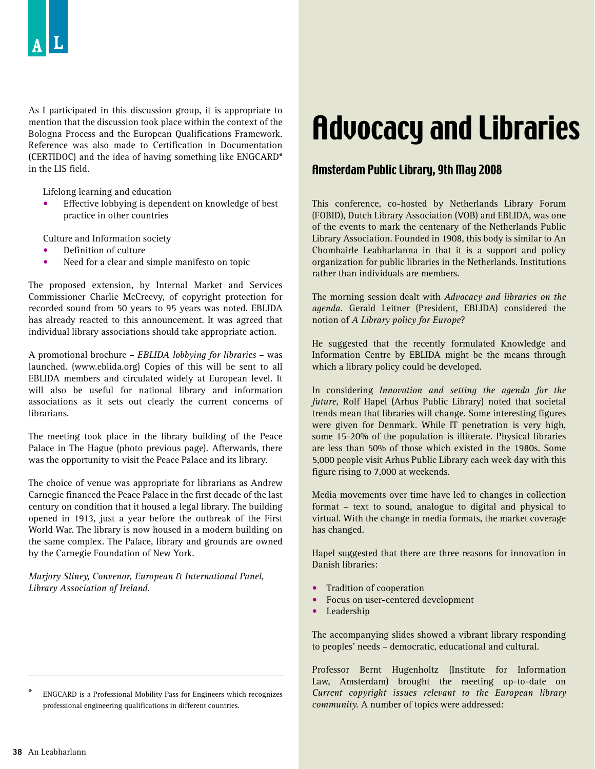As I participated in this discussion group, it is appropriate to mention that the discussion took place within the context of the Bologna Process and the European Qualifications Framework. Reference was also made to Certification in Documentation (CERTIDOC) and the idea of having something like ENGCARD\* in the LIS field.

Lifelong learning and education

Effective lobbying is dependent on knowledge of best practice in other countries

Culture and Information society

- Definition of culture
- Need for a clear and simple manifesto on topic

The proposed extension, by Internal Market and Services Commissioner Charlie McCreevy, of copyright protection for recorded sound from 50 years to 95 years was noted. EBLIDA has already reacted to this announcement. It was agreed that individual library associations should take appropriate action.

A promotional brochure – *EBLIDA lobbying for libraries* – was launched. (www.eblida.org) Copies of this will be sent to all EBLIDA members and circulated widely at European level. It will also be useful for national library and information associations as it sets out clearly the current concerns of librarians.

The meeting took place in the library building of the Peace Palace in The Hague (photo previous page). Afterwards, there was the opportunity to visit the Peace Palace and its library.

The choice of venue was appropriate for librarians as Andrew Carnegie financed the Peace Palace in the first decade of the last century on condition that it housed a legal library. The building opened in 1913, just a year before the outbreak of the First World War. The library is now housed in a modern building on the same complex. The Palace, library and grounds are owned by the Carnegie Foundation of New York.

*Marjory Sliney, Convenor, European & International Panel, Library Association of Ireland.*

\* ENGCARD is a Professional Mobility Pass for Engineers which recognizes professional engineering qualifications in different countries.

## Advocacy and Libraries

#### Amsterdam Public Library, 9th May 2008

This conference, co-hosted by Netherlands Library Forum (FOBID), Dutch Library Association (VOB) and EBLIDA, was one of the events to mark the centenary of the Netherlands Public Library Association. Founded in 1908, this body is similar to An Chomhairle Leabharlanna in that it is a support and policy organization for public libraries in the Netherlands. Institutions rather than individuals are members.

The morning session dealt with *Advocacy and libraries on the agenda.* Gerald Leitner (President, EBLIDA) considered the notion of *A Library policy for Europe*?

He suggested that the recently formulated Knowledge and Information Centre by EBLIDA might be the means through which a library policy could be developed.

In considering *Innovation and setting the agenda for the future,* Rolf Hapel (Arhus Public Library) noted that societal trends mean that libraries will change. Some interesting figures were given for Denmark. While IT penetration is very high, some 15-20% of the population is illiterate. Physical libraries are less than 50% of those which existed in the 1980s. Some 5,000 people visit Arhus Public Library each week day with this figure rising to 7,000 at weekends.

Media movements over time have led to changes in collection format – text to sound, analogue to digital and physical to virtual. With the change in media formats, the market coverage has changed.

Hapel suggested that there are three reasons for innovation in Danish libraries:

- Tradition of cooperation
- Focus on user-centered development
- Leadership

The accompanying slides showed a vibrant library responding to peoples' needs – democratic, educational and cultural.

Professor Bernt Hugenholtz (Institute for Information Law, Amsterdam) brought the meeting up-to-date on *Current copyright issues relevant to the European library community.* A number of topics were addressed: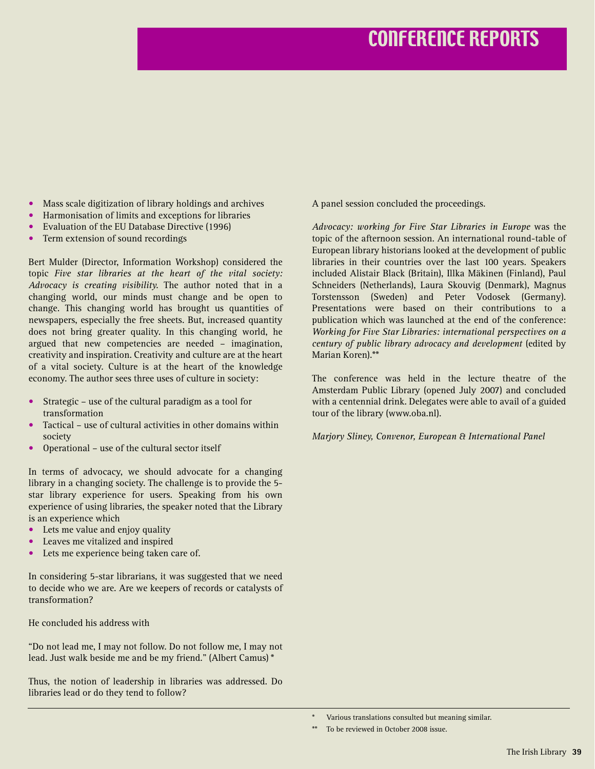- Mass scale digitization of library holdings and archives
- Harmonisation of limits and exceptions for libraries
- Evaluation of the EU Database Directive (1996)
- Term extension of sound recordings

Bert Mulder (Director, Information Workshop) considered the topic *Five star libraries at the heart of the vital society: Advocacy is creating visibility.* The author noted that in a changing world, our minds must change and be open to change. This changing world has brought us quantities of newspapers, especially the free sheets. But, increased quantity does not bring greater quality. In this changing world, he argued that new competencies are needed – imagination, creativity and inspiration. Creativity and culture are at the heart of a vital society. Culture is at the heart of the knowledge economy. The author sees three uses of culture in society:

- Strategic use of the cultural paradigm as a tool for transformation
- Tactical use of cultural activities in other domains within society
- Operational use of the cultural sector itself

In terms of advocacy, we should advocate for a changing library in a changing society. The challenge is to provide the 5 star library experience for users. Speaking from his own experience of using libraries, the speaker noted that the Library is an experience which

- Lets me value and enjoy quality
- Leaves me vitalized and inspired
- Lets me experience being taken care of.

In considering 5-star librarians, it was suggested that we need to decide who we are. Are we keepers of records or catalysts of transformation?

He concluded his address with

"Do not lead me, I may not follow. Do not follow me, I may not lead. Just walk beside me and be my friend." (Albert Camus) \*

Thus, the notion of leadership in libraries was addressed. Do libraries lead or do they tend to follow?

A panel session concluded the proceedings.

*Advocacy: working for Five Star Libraries in Europe* was the topic of the afternoon session. An international round-table of European library historians looked at the development of public libraries in their countries over the last 100 years. Speakers included Alistair Black (Britain), Illka Mäkinen (Finland), Paul Schneiders (Netherlands), Laura Skouvig (Denmark), Magnus Torstensson (Sweden) and Peter Vodosek (Germany). Presentations were based on their contributions to a publication which was launched at the end of the conference: *Working for Five Star Libraries: international perspectives on a century of public library advocacy and development* (edited by Marian Koren).\*\*

The conference was held in the lecture theatre of the Amsterdam Public Library (opened July 2007) and concluded with a centennial drink. Delegates were able to avail of a guided tour of the library (www.oba.nl).

*Marjory Sliney, Convenor, European & International Panel*

Various translations consulted but meaning similar.

<sup>\*\*</sup> To be reviewed in October 2008 issue.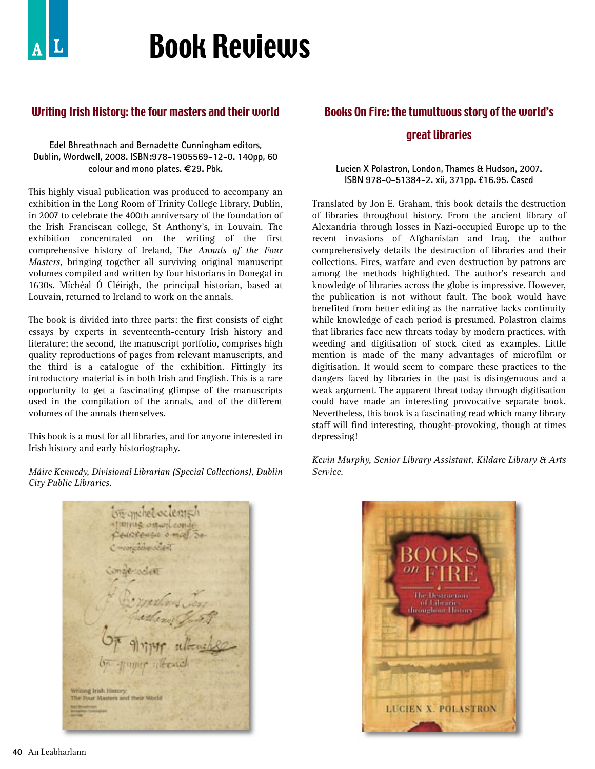## Book Reviews

## Writing Irish History: the four masters and their world

#### **Edel Bhreathnach and Bernadette Cunningham editors, Dublin, Wordwell, 2008. ISBN:978-1905569-12-0. 140pp, 60 colour and mono plates. €29. Pbk.**

This highly visual publication was produced to accompany an exhibition in the Long Room of Trinity College Library, Dublin, in 2007 to celebrate the 400th anniversary of the foundation of the Irish Franciscan college, St Anthony's, in Louvain. The exhibition concentrated on the writing of the first comprehensive history of Ireland, T*he Annals of the Four Masters,* bringing together all surviving original manuscript volumes compiled and written by four historians in Donegal in 1630s. Míchéal Ó Cléirigh, the principal historian, based at Louvain, returned to Ireland to work on the annals.

The book is divided into three parts: the first consists of eight essays by experts in seventeenth-century Irish history and literature; the second, the manuscript portfolio, comprises high quality reproductions of pages from relevant manuscripts, and the third is a catalogue of the exhibition. Fittingly its introductory material is in both Irish and English. This is a rare opportunity to get a fascinating glimpse of the manuscripts used in the compilation of the annals, and of the different volumes of the annals themselves.

This book is a must for all libraries, and for anyone interested in Irish history and early historiography.

*Máire Kennedy, Divisional Librarian (Special Collections), Dublin City Public Libraries.*

monel octent **IRIHIG ORWELCOM** edictensitionid monication scient 792000-8-5-02<br>Alexander Writing Irish History The Four Masters and their World

## Books On Fire: the tumultuous story of the world's great libraries

#### **Lucien X Polastron, London, Thames & Hudson, 2007. ISBN 978-0-51384-2. xii, 371pp. £16.95. Cased**

Translated by Jon E. Graham, this book details the destruction of libraries throughout history. From the ancient library of Alexandria through losses in Nazi-occupied Europe up to the recent invasions of Afghanistan and Iraq, the author comprehensively details the destruction of libraries and their collections. Fires, warfare and even destruction by patrons are among the methods highlighted. The author's research and knowledge of libraries across the globe is impressive. However, the publication is not without fault. The book would have benefited from better editing as the narrative lacks continuity while knowledge of each period is presumed. Polastron claims that libraries face new threats today by modern practices, with weeding and digitisation of stock cited as examples. Little mention is made of the many advantages of microfilm or digitisation. It would seem to compare these practices to the dangers faced by libraries in the past is disingenuous and a weak argument. The apparent threat today through digitisation could have made an interesting provocative separate book. Nevertheless, this book is a fascinating read which many library staff will find interesting, thought-provoking, though at times depressing!

*Kevin Murphy, Senior Library Assistant, Kildare Library & Arts Service.* 

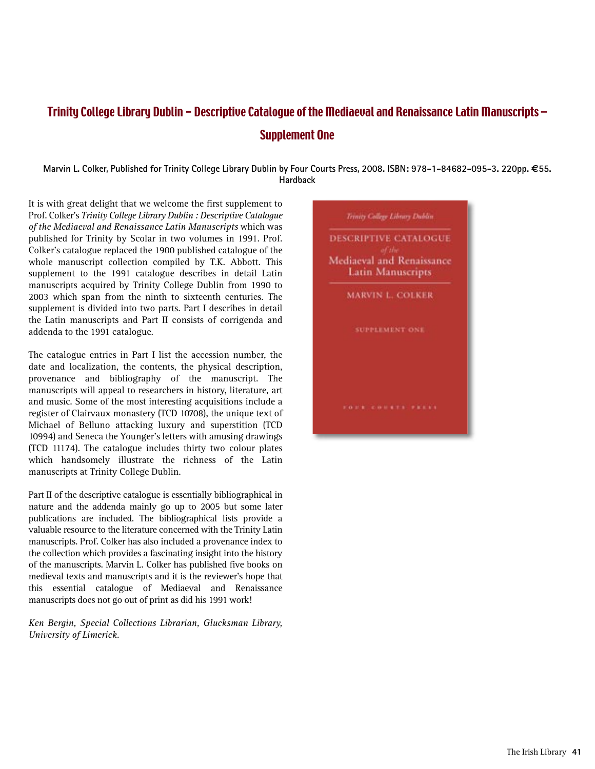## Trinity College Library Dublin - Descriptive Catalogue of the Mediaeval and Renaissance Latin Manuscripts – Supplement One

**Marvin L. Colker, Published for Trinity College Library Dublin by Four Courts Press, 2008. ISBN: 978-1-84682-095-3. 220pp. €55. Hardback**

It is with great delight that we welcome the first supplement to Prof. Colker's *Trinity College Library Dublin : Descriptive Catalogue of the Mediaeval and Renaissance Latin Manuscripts* which was published for Trinity by Scolar in two volumes in 1991. Prof. Colker's catalogue replaced the 1900 published catalogue of the whole manuscript collection compiled by T.K. Abbott. This supplement to the 1991 catalogue describes in detail Latin manuscripts acquired by Trinity College Dublin from 1990 to 2003 which span from the ninth to sixteenth centuries. The supplement is divided into two parts. Part I describes in detail the Latin manuscripts and Part II consists of corrigenda and addenda to the 1991 catalogue.

The catalogue entries in Part I list the accession number, the date and localization, the contents, the physical description, provenance and bibliography of the manuscript. The manuscripts will appeal to researchers in history, literature, art and music. Some of the most interesting acquisitions include a register of Clairvaux monastery (TCD 10708), the unique text of Michael of Belluno attacking luxury and superstition (TCD 10994) and Seneca the Younger's letters with amusing drawings (TCD 11174). The catalogue includes thirty two colour plates which handsomely illustrate the richness of the Latin manuscripts at Trinity College Dublin.

Part II of the descriptive catalogue is essentially bibliographical in nature and the addenda mainly go up to 2005 but some later publications are included. The bibliographical lists provide a valuable resource to the literature concerned with the Trinity Latin manuscripts. Prof. Colker has also included a provenance index to the collection which provides a fascinating insight into the history of the manuscripts. Marvin L. Colker has published five books on medieval texts and manuscripts and it is the reviewer's hope that this essential catalogue of Mediaeval and Renaissance manuscripts does not go out of print as did his 1991 work!

*Ken Bergin, Special Collections Librarian, Glucksman Library, University of Limerick.*

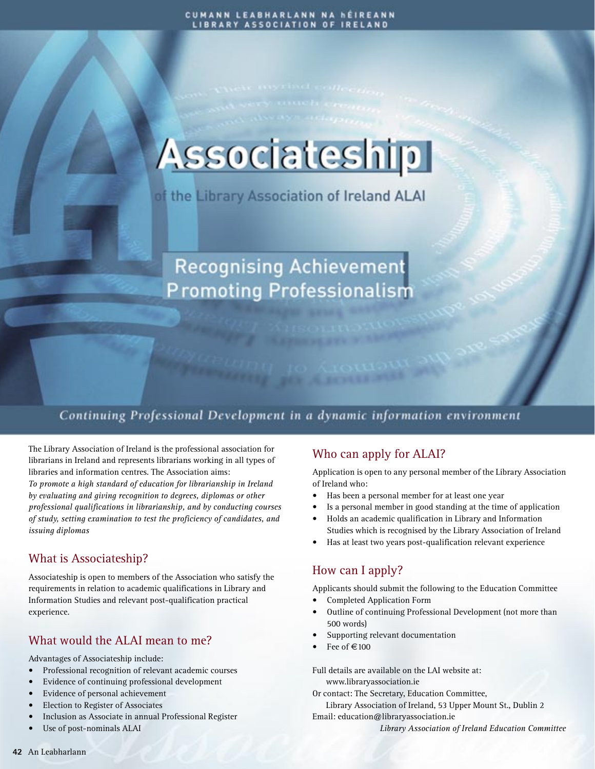## **Associateship**

of the Library Association of Ireland ALAI

## **Recognising Achievement Promoting Professionalism**

## Continuing Professional Development in a dynamic information environment

The Library Association of Ireland is the professional association for librarians in Ireland and represents librarians working in all types of libraries and information centres. The Association aims: *To promote a high standard of education for librarianship in Ireland by evaluating and giving recognition to degrees, diplomas or other professional qualifications in librarianship, and by conducting courses of study, setting examination to test the proficiency of candidates, and issuing diplomas*

## What is Associateship?

Associateship is open to members of the Association who satisfy the requirements in relation to academic qualifications in Library and Information Studies and relevant post-qualification practical experience.

### What would the ALAI mean to me?

Advantages of Associateship include:

- Professional recognition of relevant academic courses
- Evidence of continuing professional development
- Evidence of personal achievement
- Election to Register of Associates
- Inclusion as Associate in annual Professional Register
- Use of post-nominals ALAI

## Who can apply for ALAI?

Application is open to any personal member of the Library Association of Ireland who:

- Has been a personal member for at least one year
- Is a personal member in good standing at the time of application
- Holds an academic qualification in Library and Information Studies which is recognised by the Library Association of Ireland
- Has at least two years post-qualification relevant experience

## How can I apply?

Applicants should submit the following to the Education Committee

- Completed Application Form
- Outline of continuing Professional Development (not more than 500 words)
- Supporting relevant documentation
- Fee of  $\in$ 100

Full details are available on the LAI website at: www.libraryassociation.ie

Or contact: The Secretary, Education Committee,

Library Association of Ireland, 53 Upper Mount St., Dublin 2 Email: education@libraryassociation.ie

*Library Association of Ireland Education Committee*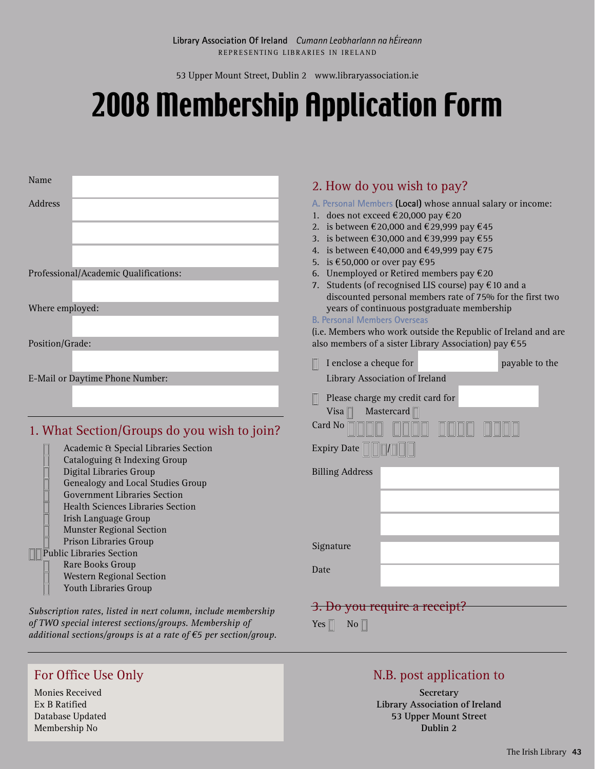53 Upper Mount Street, Dublin 2 www.libraryassociation.ie

## 2008 Membership Application Form

| Name                                                                                                                                                                                                       | 2. How do you wish to pay?                                                                                                                                                                                                                                                                                                                                                                 |
|------------------------------------------------------------------------------------------------------------------------------------------------------------------------------------------------------------|--------------------------------------------------------------------------------------------------------------------------------------------------------------------------------------------------------------------------------------------------------------------------------------------------------------------------------------------------------------------------------------------|
| <b>Address</b>                                                                                                                                                                                             | A. Personal Members (Local) whose annual salary or income:<br>1. does not exceed €20,000 pay €20<br>2. is between €20,000 and €29,999 pay €45<br>3. is between €30,000 and €39,999 pay €55<br>4. is between €40,000 and €49,999 pay €75<br>5. is €50,000 or over pay €95                                                                                                                   |
| Professional/Academic Qualifications:<br>Where employed:<br>Position/Grade:                                                                                                                                | 6. Unemployed or Retired members pay $€20$<br>7. Students (of recognised LIS course) pay $\epsilon$ 10 and a<br>discounted personal members rate of 75% for the first two<br>years of continuous postgraduate membership<br><b>B. Personal Members Overseas</b><br>(i.e. Members who work outside the Republic of Ireland and are<br>also members of a sister Library Association) pay €55 |
| E-Mail or Daytime Phone Number:                                                                                                                                                                            | I enclose a cheque for<br>payable to the<br>Library Association of Ireland                                                                                                                                                                                                                                                                                                                 |
| 1. What Section/Groups do you wish to join?<br>Academic & Special Libraries Section<br><b>Cataloguing &amp; Indexing Group</b>                                                                             | Please charge my credit card for<br>Visa $\Box$<br>Mastercard $\Box$<br>Card No<br><b>Expiry Date</b>                                                                                                                                                                                                                                                                                      |
| Digital Libraries Group<br>Genealogy and Local Studies Group<br><b>Government Libraries Section</b><br><b>Health Sciences Libraries Section</b><br>Irish Language Group<br><b>Munster Regional Section</b> | <b>Billing Address</b>                                                                                                                                                                                                                                                                                                                                                                     |
| <b>Prison Libraries Group</b><br><b>T</b> Public Libraries Section<br><b>Rare Books Group</b><br><b>Western Regional Section</b><br>$\blacksquare$<br><b>Youth Libraries Group</b>                         | Signature<br>Date                                                                                                                                                                                                                                                                                                                                                                          |
| Subscription rates, listed in next column, include membership<br>of TWO special interest sections/groups. Membership of<br>additional sections/groups is at a rate of $\epsilon$ 5 per section/group.      | 3. Do you require a receipt?<br>Yes $\Box$<br>No                                                                                                                                                                                                                                                                                                                                           |

## For Office Use Only

Monies Received Ex B Ratified Database Updated Membership No

## N.B. post application to

**Secretary Library Association of Ireland 53 Upper Mount Street Dublin 2**